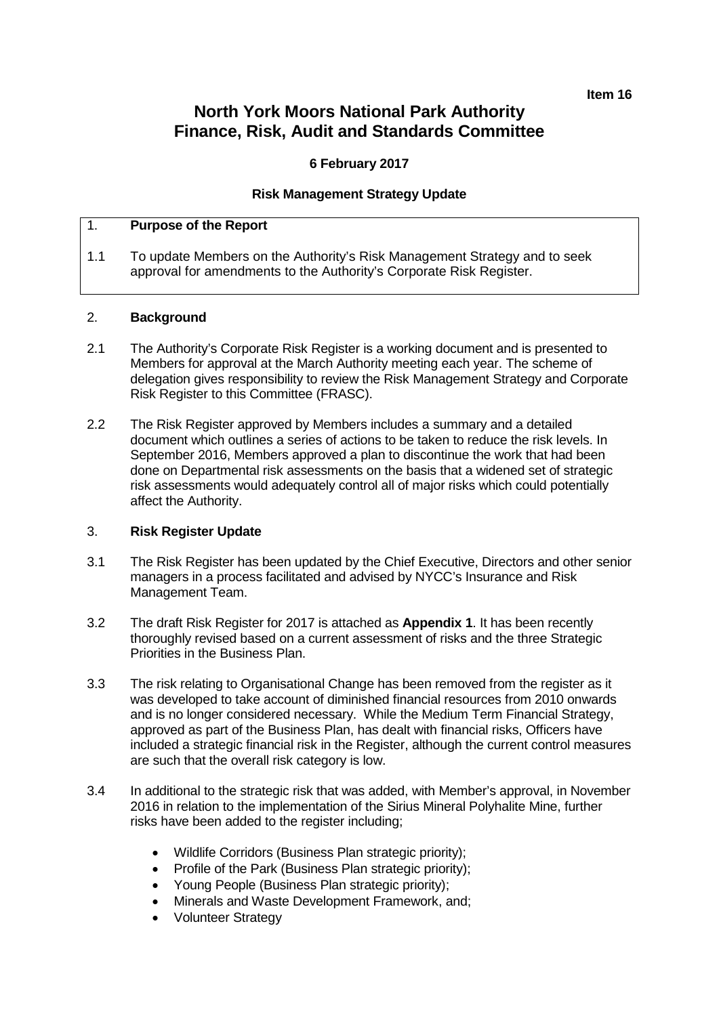**Item 16**

## **North York Moors National Park Authority Finance, Risk, Audit and Standards Committee**

### **6 February 2017**

### **Risk Management Strategy Update**

## 1. **Purpose of the Report**

1.1 To update Members on the Authority's Risk Management Strategy and to seek approval for amendments to the Authority's Corporate Risk Register.

### 2. **Background**

- 2.1 The Authority's Corporate Risk Register is a working document and is presented to Members for approval at the March Authority meeting each year. The scheme of delegation gives responsibility to review the Risk Management Strategy and Corporate Risk Register to this Committee (FRASC).
- 2.2 The Risk Register approved by Members includes a summary and a detailed document which outlines a series of actions to be taken to reduce the risk levels. In September 2016, Members approved a plan to discontinue the work that had been done on Departmental risk assessments on the basis that a widened set of strategic risk assessments would adequately control all of major risks which could potentially affect the Authority.

#### 3. **Risk Register Update**

- 3.1 The Risk Register has been updated by the Chief Executive, Directors and other senior managers in a process facilitated and advised by NYCC's Insurance and Risk Management Team.
- 3.2 The draft Risk Register for 2017 is attached as **Appendix 1**. It has been recently thoroughly revised based on a current assessment of risks and the three Strategic Priorities in the Business Plan.
- 3.3 The risk relating to Organisational Change has been removed from the register as it was developed to take account of diminished financial resources from 2010 onwards and is no longer considered necessary. While the Medium Term Financial Strategy, approved as part of the Business Plan, has dealt with financial risks, Officers have included a strategic financial risk in the Register, although the current control measures are such that the overall risk category is low.
- 3.4 In additional to the strategic risk that was added, with Member's approval, in November 2016 in relation to the implementation of the Sirius Mineral Polyhalite Mine, further risks have been added to the register including;
	- Wildlife Corridors (Business Plan strategic priority);
	- Profile of the Park (Business Plan strategic priority);
	- Young People (Business Plan strategic priority);
	- Minerals and Waste Development Framework, and;
	- Volunteer Strategy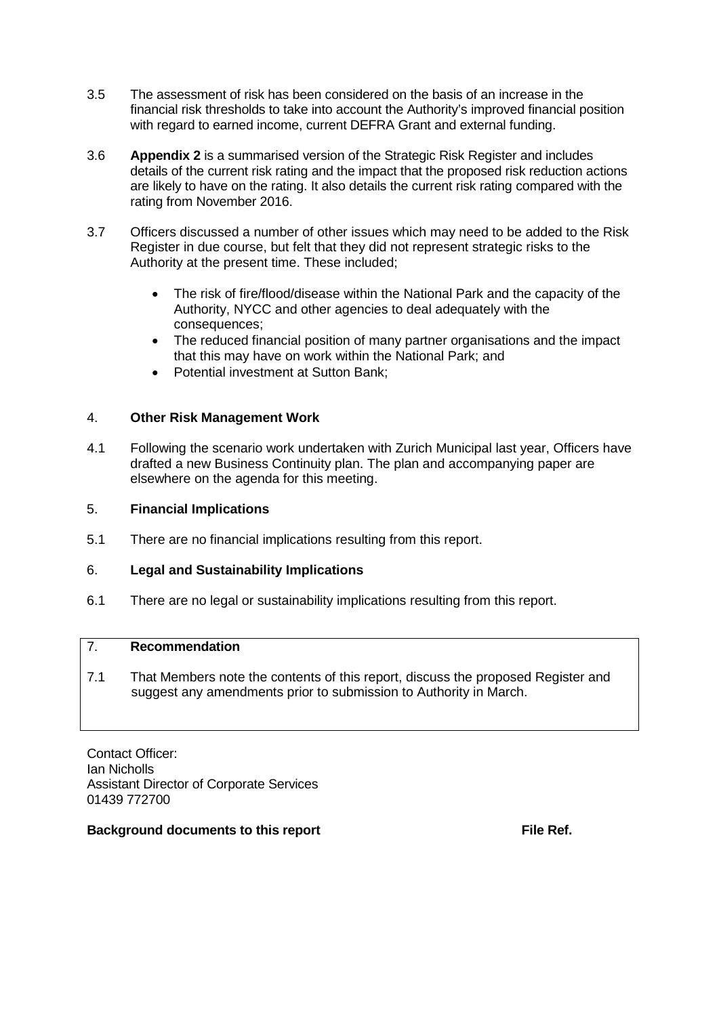- 3.5 The assessment of risk has been considered on the basis of an increase in the financial risk thresholds to take into account the Authority's improved financial position with regard to earned income, current DEFRA Grant and external funding.
- 3.6 **Appendix 2** is a summarised version of the Strategic Risk Register and includes details of the current risk rating and the impact that the proposed risk reduction actions are likely to have on the rating. It also details the current risk rating compared with the rating from November 2016.
- 3.7 Officers discussed a number of other issues which may need to be added to the Risk Register in due course, but felt that they did not represent strategic risks to the Authority at the present time. These included;
	- The risk of fire/flood/disease within the National Park and the capacity of the Authority, NYCC and other agencies to deal adequately with the consequences;
	- The reduced financial position of many partner organisations and the impact that this may have on work within the National Park; and
	- Potential investment at Sutton Bank;

## 4. **Other Risk Management Work**

4.1 Following the scenario work undertaken with Zurich Municipal last year, Officers have drafted a new Business Continuity plan. The plan and accompanying paper are elsewhere on the agenda for this meeting.

### 5. **Financial Implications**

5.1 There are no financial implications resulting from this report.

### 6. **Legal and Sustainability Implications**

6.1 There are no legal or sustainability implications resulting from this report.

## 7. **Recommendation**

7.1 That Members note the contents of this report, discuss the proposed Register and suggest any amendments prior to submission to Authority in March.

Contact Officer: Ian Nicholls Assistant Director of Corporate Services 01439 772700

### **Background documents to this report File Ref. File Ref.**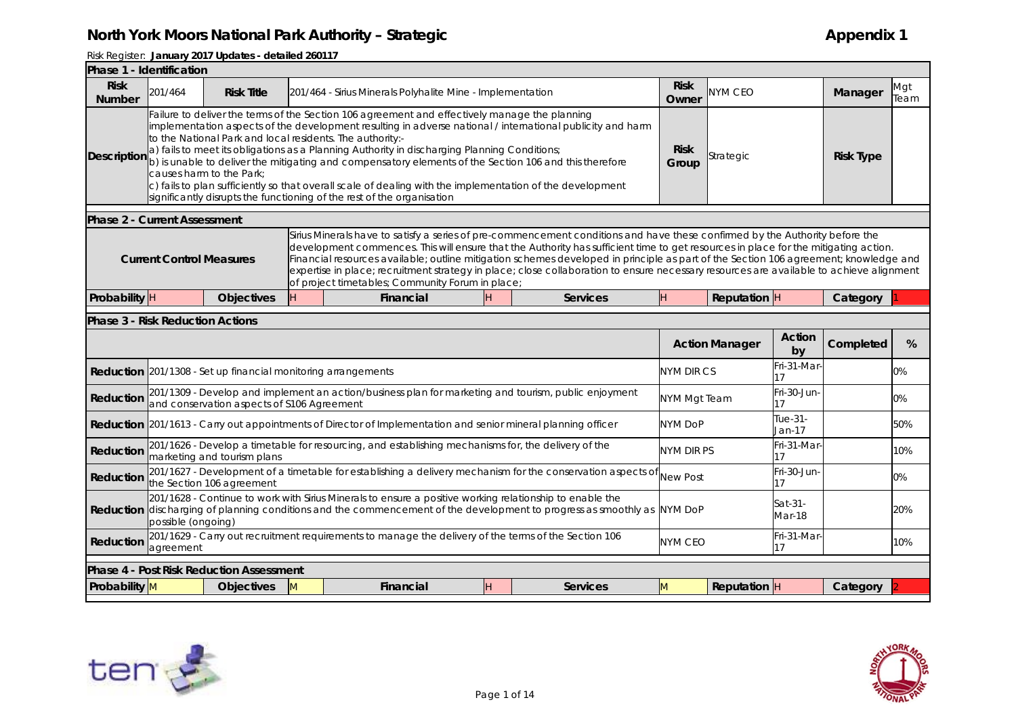| <b>Risk</b><br><b>Risk</b><br><b>NYM CEO</b><br>201/464<br><b>Risk Title</b><br>201/464 - Sirius Minerals Polyhalite Mine - Implementation<br><b>Number</b><br>Owner<br>Failure to deliver the terms of the Section 106 agreement and effectively manage the planning<br>implementation aspects of the development resulting in adverse national / international publicity and harm<br>to the National Park and local residents. The authority:-<br><b>Risk</b><br>a) fails to meet its obligations as a Planning Authority in discharging Planning Conditions;<br>Description<br>Strategic<br>b) is unable to deliver the mitigating and compensatory elements of the Section 106 and this therefore<br>Group<br>causes harm to the Park;<br>c) fails to plan sufficiently so that overall scale of dealing with the implementation of the development<br>significantly disrupts the functioning of the rest of the organisation<br><b>Phase 2 - Current Assessment</b><br><b>Current Control Measures</b><br>of project timetables; Community Forum in place;<br>Probability <sup>H</sup><br>H<br>Financial<br>H<br>ŀΗ.<br><b>Reputation</b> H<br><b>Objectives</b><br><b>Services</b><br><b>Phase 3 - Risk Reduction Actions</b><br>Action<br><b>Action Manager</b><br>by<br>Fri-31-Mar<br><b>Reduction</b> 201/1308 - Set up financial monitoring arrangements<br><b>NYM DIR CS</b><br>17<br>201/1309 - Develop and implement an action/business plan for marketing and tourism, public enjoyment<br>Fri-30-Jun-<br>Reduction<br>NYM Mgt Team<br>and conservation aspects of \$106 Agreement<br>17<br>Tue-31-<br><b>Reduction</b> 201/1613 - Carry out appointments of Director of Implementation and senior mineral planning officer<br><b>NYM DoP</b><br>Jan-17<br>201/1626 - Develop a timetable for resourcing, and establishing mechanisms for, the delivery of the<br>Fri-31-Mar<br>NYM DIR PS<br>Reduction<br>marketing and tourism plans<br>17<br>201/1627 - Development of a timetable for establishing a delivery mechanism for the conservation aspects of<br>Fri-30-Jun-<br><b>New Post</b><br>Reduction<br>the Section 106 agreement<br>17<br>201/1628 - Continue to work with Sirius Minerals to ensure a positive working relationship to enable the<br>Sat-31-<br><b>Reduction</b> discharging of planning conditions and the commencement of the development to progress as smoothly as NYM DoP<br>Mar-18<br>possible (ongoing)<br>201/1629 - Carry out recruitment requirements to manage the delivery of the terms of the Section 106<br>Fri-31-Mar<br><b>NYM CEO</b><br>Reduction<br>agreement<br>17<br><b>Phase 4 - Post Risk Reduction Assessment</b><br>Probability M<br><b>Objectives</b><br><b>Financial</b><br>Reputation H<br>$\mathsf{M}$<br>H<br><b>Services</b><br>M |                                                                                                                                                                                                                                                                                                                                                                                                                                                                                                                                                        |             |  |  |  |  |  |  |  |  |  |  |  |
|--------------------------------------------------------------------------------------------------------------------------------------------------------------------------------------------------------------------------------------------------------------------------------------------------------------------------------------------------------------------------------------------------------------------------------------------------------------------------------------------------------------------------------------------------------------------------------------------------------------------------------------------------------------------------------------------------------------------------------------------------------------------------------------------------------------------------------------------------------------------------------------------------------------------------------------------------------------------------------------------------------------------------------------------------------------------------------------------------------------------------------------------------------------------------------------------------------------------------------------------------------------------------------------------------------------------------------------------------------------------------------------------------------------------------------------------------------------------------------------------------------------------------------------------------------------------------------------------------------------------------------------------------------------------------------------------------------------------------------------------------------------------------------------------------------------------------------------------------------------------------------------------------------------------------------------------------------------------------------------------------------------------------------------------------------------------------------------------------------------------------------------------------------------------------------------------------------------------------------------------------------------------------------------------------------------------------------------------------------------------------------------------------------------------------------------------------------------------------------------------------------------------------------------------------------------------------------------------------------------------------------------------------------------------------------------------------------------------------------------------------------------------------------------------------------|--------------------------------------------------------------------------------------------------------------------------------------------------------------------------------------------------------------------------------------------------------------------------------------------------------------------------------------------------------------------------------------------------------------------------------------------------------------------------------------------------------------------------------------------------------|-------------|--|--|--|--|--|--|--|--|--|--|--|
|                                                                                                                                                                                                                                                                                                                                                                                                                                                                                                                                                                                                                                                                                                                                                                                                                                                                                                                                                                                                                                                                                                                                                                                                                                                                                                                                                                                                                                                                                                                                                                                                                                                                                                                                                                                                                                                                                                                                                                                                                                                                                                                                                                                                                                                                                                                                                                                                                                                                                                                                                                                                                                                                                                                                                                                                        | Manager                                                                                                                                                                                                                                                                                                                                                                                                                                                                                                                                                | Mgt<br>Team |  |  |  |  |  |  |  |  |  |  |  |
|                                                                                                                                                                                                                                                                                                                                                                                                                                                                                                                                                                                                                                                                                                                                                                                                                                                                                                                                                                                                                                                                                                                                                                                                                                                                                                                                                                                                                                                                                                                                                                                                                                                                                                                                                                                                                                                                                                                                                                                                                                                                                                                                                                                                                                                                                                                                                                                                                                                                                                                                                                                                                                                                                                                                                                                                        | <b>Risk Type</b>                                                                                                                                                                                                                                                                                                                                                                                                                                                                                                                                       |             |  |  |  |  |  |  |  |  |  |  |  |
|                                                                                                                                                                                                                                                                                                                                                                                                                                                                                                                                                                                                                                                                                                                                                                                                                                                                                                                                                                                                                                                                                                                                                                                                                                                                                                                                                                                                                                                                                                                                                                                                                                                                                                                                                                                                                                                                                                                                                                                                                                                                                                                                                                                                                                                                                                                                                                                                                                                                                                                                                                                                                                                                                                                                                                                                        |                                                                                                                                                                                                                                                                                                                                                                                                                                                                                                                                                        |             |  |  |  |  |  |  |  |  |  |  |  |
|                                                                                                                                                                                                                                                                                                                                                                                                                                                                                                                                                                                                                                                                                                                                                                                                                                                                                                                                                                                                                                                                                                                                                                                                                                                                                                                                                                                                                                                                                                                                                                                                                                                                                                                                                                                                                                                                                                                                                                                                                                                                                                                                                                                                                                                                                                                                                                                                                                                                                                                                                                                                                                                                                                                                                                                                        | Sirius Minerals have to satisfy a series of pre-commencement conditions and have these confirmed by the Authority before the<br>development commences. This will ensure that the Authority has sufficient time to get resources in place for the mitigating action.<br>Financial resources available; outline mitigation schemes developed in principle as part of the Section 106 agreement; knowledge and<br>expertise in place; recruitment strategy in place; close collaboration to ensure necessary resources are available to achieve alignment |             |  |  |  |  |  |  |  |  |  |  |  |
|                                                                                                                                                                                                                                                                                                                                                                                                                                                                                                                                                                                                                                                                                                                                                                                                                                                                                                                                                                                                                                                                                                                                                                                                                                                                                                                                                                                                                                                                                                                                                                                                                                                                                                                                                                                                                                                                                                                                                                                                                                                                                                                                                                                                                                                                                                                                                                                                                                                                                                                                                                                                                                                                                                                                                                                                        | Category                                                                                                                                                                                                                                                                                                                                                                                                                                                                                                                                               |             |  |  |  |  |  |  |  |  |  |  |  |
|                                                                                                                                                                                                                                                                                                                                                                                                                                                                                                                                                                                                                                                                                                                                                                                                                                                                                                                                                                                                                                                                                                                                                                                                                                                                                                                                                                                                                                                                                                                                                                                                                                                                                                                                                                                                                                                                                                                                                                                                                                                                                                                                                                                                                                                                                                                                                                                                                                                                                                                                                                                                                                                                                                                                                                                                        |                                                                                                                                                                                                                                                                                                                                                                                                                                                                                                                                                        |             |  |  |  |  |  |  |  |  |  |  |  |
|                                                                                                                                                                                                                                                                                                                                                                                                                                                                                                                                                                                                                                                                                                                                                                                                                                                                                                                                                                                                                                                                                                                                                                                                                                                                                                                                                                                                                                                                                                                                                                                                                                                                                                                                                                                                                                                                                                                                                                                                                                                                                                                                                                                                                                                                                                                                                                                                                                                                                                                                                                                                                                                                                                                                                                                                        | Completed                                                                                                                                                                                                                                                                                                                                                                                                                                                                                                                                              | %           |  |  |  |  |  |  |  |  |  |  |  |
|                                                                                                                                                                                                                                                                                                                                                                                                                                                                                                                                                                                                                                                                                                                                                                                                                                                                                                                                                                                                                                                                                                                                                                                                                                                                                                                                                                                                                                                                                                                                                                                                                                                                                                                                                                                                                                                                                                                                                                                                                                                                                                                                                                                                                                                                                                                                                                                                                                                                                                                                                                                                                                                                                                                                                                                                        |                                                                                                                                                                                                                                                                                                                                                                                                                                                                                                                                                        | 0%          |  |  |  |  |  |  |  |  |  |  |  |
|                                                                                                                                                                                                                                                                                                                                                                                                                                                                                                                                                                                                                                                                                                                                                                                                                                                                                                                                                                                                                                                                                                                                                                                                                                                                                                                                                                                                                                                                                                                                                                                                                                                                                                                                                                                                                                                                                                                                                                                                                                                                                                                                                                                                                                                                                                                                                                                                                                                                                                                                                                                                                                                                                                                                                                                                        |                                                                                                                                                                                                                                                                                                                                                                                                                                                                                                                                                        | 0%          |  |  |  |  |  |  |  |  |  |  |  |
|                                                                                                                                                                                                                                                                                                                                                                                                                                                                                                                                                                                                                                                                                                                                                                                                                                                                                                                                                                                                                                                                                                                                                                                                                                                                                                                                                                                                                                                                                                                                                                                                                                                                                                                                                                                                                                                                                                                                                                                                                                                                                                                                                                                                                                                                                                                                                                                                                                                                                                                                                                                                                                                                                                                                                                                                        |                                                                                                                                                                                                                                                                                                                                                                                                                                                                                                                                                        | 50%         |  |  |  |  |  |  |  |  |  |  |  |
|                                                                                                                                                                                                                                                                                                                                                                                                                                                                                                                                                                                                                                                                                                                                                                                                                                                                                                                                                                                                                                                                                                                                                                                                                                                                                                                                                                                                                                                                                                                                                                                                                                                                                                                                                                                                                                                                                                                                                                                                                                                                                                                                                                                                                                                                                                                                                                                                                                                                                                                                                                                                                                                                                                                                                                                                        |                                                                                                                                                                                                                                                                                                                                                                                                                                                                                                                                                        | 10%         |  |  |  |  |  |  |  |  |  |  |  |
|                                                                                                                                                                                                                                                                                                                                                                                                                                                                                                                                                                                                                                                                                                                                                                                                                                                                                                                                                                                                                                                                                                                                                                                                                                                                                                                                                                                                                                                                                                                                                                                                                                                                                                                                                                                                                                                                                                                                                                                                                                                                                                                                                                                                                                                                                                                                                                                                                                                                                                                                                                                                                                                                                                                                                                                                        |                                                                                                                                                                                                                                                                                                                                                                                                                                                                                                                                                        | 0%          |  |  |  |  |  |  |  |  |  |  |  |
|                                                                                                                                                                                                                                                                                                                                                                                                                                                                                                                                                                                                                                                                                                                                                                                                                                                                                                                                                                                                                                                                                                                                                                                                                                                                                                                                                                                                                                                                                                                                                                                                                                                                                                                                                                                                                                                                                                                                                                                                                                                                                                                                                                                                                                                                                                                                                                                                                                                                                                                                                                                                                                                                                                                                                                                                        |                                                                                                                                                                                                                                                                                                                                                                                                                                                                                                                                                        | 20%         |  |  |  |  |  |  |  |  |  |  |  |
|                                                                                                                                                                                                                                                                                                                                                                                                                                                                                                                                                                                                                                                                                                                                                                                                                                                                                                                                                                                                                                                                                                                                                                                                                                                                                                                                                                                                                                                                                                                                                                                                                                                                                                                                                                                                                                                                                                                                                                                                                                                                                                                                                                                                                                                                                                                                                                                                                                                                                                                                                                                                                                                                                                                                                                                                        |                                                                                                                                                                                                                                                                                                                                                                                                                                                                                                                                                        | 10%         |  |  |  |  |  |  |  |  |  |  |  |
|                                                                                                                                                                                                                                                                                                                                                                                                                                                                                                                                                                                                                                                                                                                                                                                                                                                                                                                                                                                                                                                                                                                                                                                                                                                                                                                                                                                                                                                                                                                                                                                                                                                                                                                                                                                                                                                                                                                                                                                                                                                                                                                                                                                                                                                                                                                                                                                                                                                                                                                                                                                                                                                                                                                                                                                                        |                                                                                                                                                                                                                                                                                                                                                                                                                                                                                                                                                        |             |  |  |  |  |  |  |  |  |  |  |  |
|                                                                                                                                                                                                                                                                                                                                                                                                                                                                                                                                                                                                                                                                                                                                                                                                                                                                                                                                                                                                                                                                                                                                                                                                                                                                                                                                                                                                                                                                                                                                                                                                                                                                                                                                                                                                                                                                                                                                                                                                                                                                                                                                                                                                                                                                                                                                                                                                                                                                                                                                                                                                                                                                                                                                                                                                        | Category                                                                                                                                                                                                                                                                                                                                                                                                                                                                                                                                               |             |  |  |  |  |  |  |  |  |  |  |  |



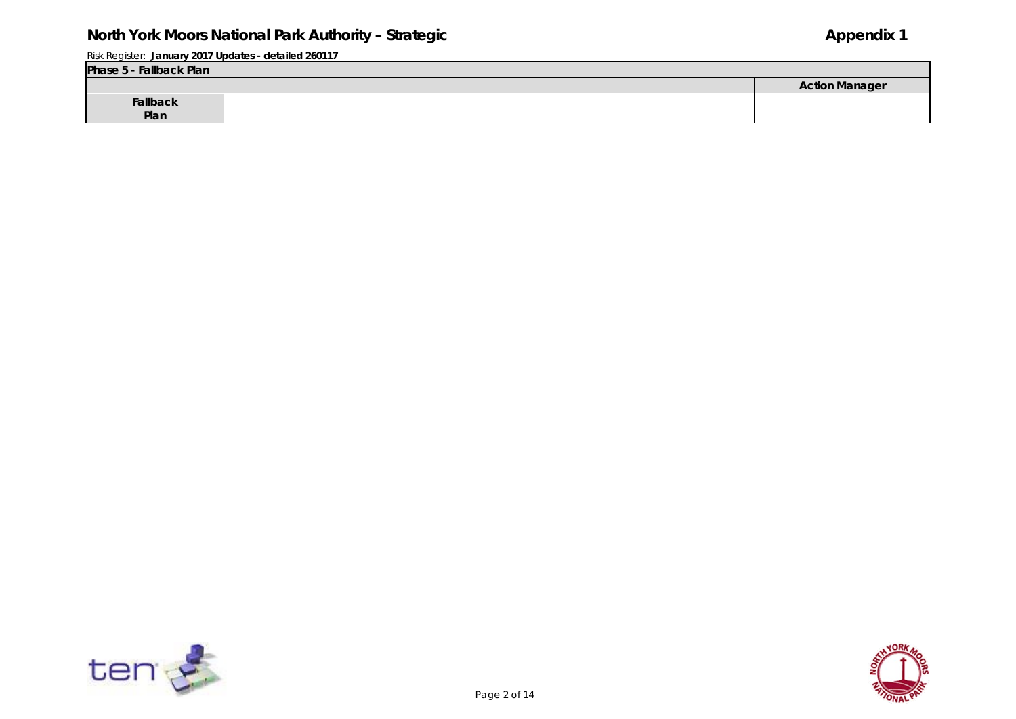| Phase 5 - Fallback Plan |                       |
|-------------------------|-----------------------|
|                         | <b>Action Manager</b> |
| Fallback<br>Plan        |                       |
|                         |                       |



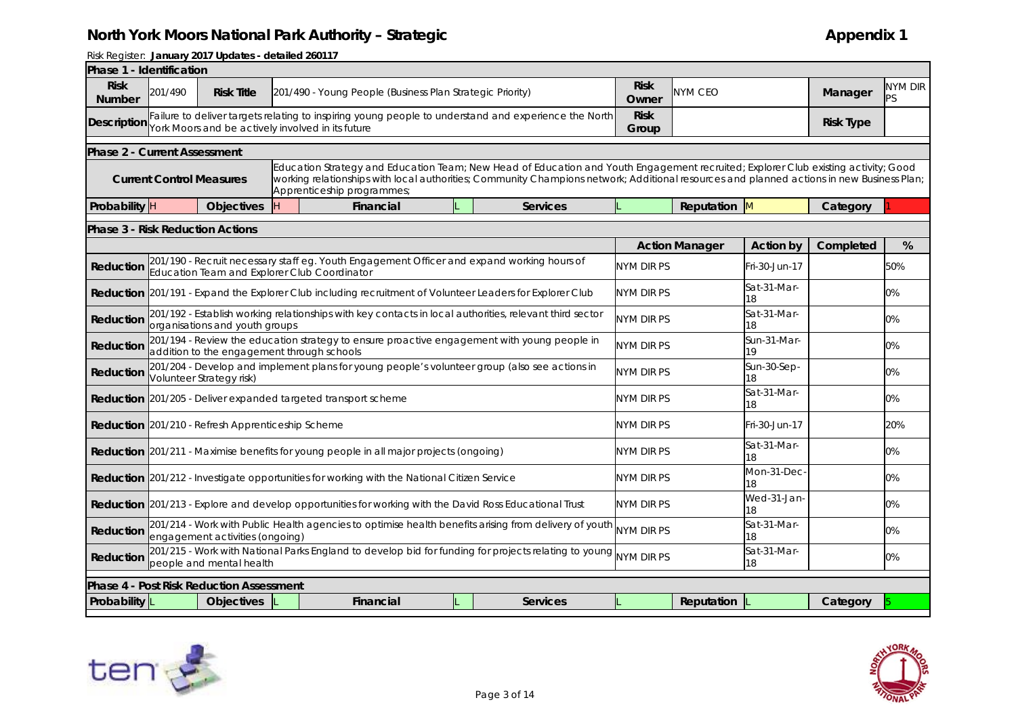| Phase 1 - Identification                |                                 |                                                          |   |                                                                                                                                                                                                                                                                                                               |                 |                      |                                 |                   |                  |                      |  |  |
|-----------------------------------------|---------------------------------|----------------------------------------------------------|---|---------------------------------------------------------------------------------------------------------------------------------------------------------------------------------------------------------------------------------------------------------------------------------------------------------------|-----------------|----------------------|---------------------------------|-------------------|------------------|----------------------|--|--|
| <b>Risk</b><br><b>Number</b>            | 201/490                         | <b>Risk Title</b>                                        |   | 201/490 - Young People (Business Plan Strategic Priority)                                                                                                                                                                                                                                                     |                 | <b>Risk</b><br>Owner | NYM CEO                         |                   | Manager          | <b>NYM DIR</b><br>PS |  |  |
| <b>Description</b>                      |                                 |                                                          |   | Failure to deliver targets relating to inspiring young people to understand and experience the North<br>York Moors and be actively involved in its future                                                                                                                                                     |                 | <b>Risk</b><br>Group |                                 |                   | <b>Risk Type</b> |                      |  |  |
| <b>Phase 2 - Current Assessment</b>     |                                 |                                                          |   |                                                                                                                                                                                                                                                                                                               |                 |                      |                                 |                   |                  |                      |  |  |
|                                         | <b>Current Control Measures</b> |                                                          |   | Education Strategy and Education Team; New Head of Education and Youth Engagement recruited; Explorer Club existing activity; Good<br>working relationships with local authorities; Community Champions network; Additional resources and planned actions in new Business Plan;<br>Apprenticeship programmes; |                 |                      |                                 |                   |                  |                      |  |  |
| Probability H                           |                                 | <b>Objectives</b>                                        | H | Financial                                                                                                                                                                                                                                                                                                     | Services        |                      | Reputation                      | <b>M</b>          | Category         |                      |  |  |
| <b>Phase 3 - Risk Reduction Actions</b> |                                 |                                                          |   |                                                                                                                                                                                                                                                                                                               |                 |                      |                                 |                   |                  |                      |  |  |
|                                         |                                 |                                                          |   |                                                                                                                                                                                                                                                                                                               |                 |                      | <b>Action Manager</b>           | <b>Action by</b>  | Completed        | %                    |  |  |
| Reduction                               |                                 |                                                          |   | 201/190 - Recruit necessary staff eg. Youth Engagement Officer and expand working hours of<br>Education Team and Explorer Club Coordinator                                                                                                                                                                    |                 | NYM DIR PS           |                                 | Fri-30-Jun-17     |                  | 50%                  |  |  |
|                                         |                                 |                                                          |   | Reduction 201/191 - Expand the Explorer Club including recruitment of Volunteer Leaders for Explorer Club                                                                                                                                                                                                     |                 |                      | Sat-31-Mar-<br>NYM DIR PS<br>18 |                   |                  | 0%                   |  |  |
| Reduction                               |                                 | organisations and youth groups                           |   | 201/192 - Establish working relationships with key contacts in local authorities, relevant third sector                                                                                                                                                                                                       |                 | NYM DIR PS           |                                 | Sat-31-Mar-<br>18 |                  | 0%                   |  |  |
| Reduction                               |                                 | addition to the engagement through schools               |   | 201/194 - Review the education strategy to ensure proactive engagement with young people in                                                                                                                                                                                                                   |                 | NYM DIR PS           |                                 | Sun-31-Mar-<br>19 |                  | 0%                   |  |  |
| Reduction                               |                                 | Volunteer Strategy risk)                                 |   | 201/204 - Develop and implement plans for young people's volunteer group (also see actions in                                                                                                                                                                                                                 |                 | <b>NYM DIR PS</b>    |                                 | Sun-30-Sep-<br>18 |                  | 0%                   |  |  |
|                                         |                                 |                                                          |   | <b>Reduction</b> 201/205 - Deliver expanded targeted transport scheme                                                                                                                                                                                                                                         |                 | NYM DIR PS           |                                 | Sat-31-Mar-<br>18 |                  | 0%                   |  |  |
|                                         |                                 | <b>Reduction</b> 201/210 - Refresh Apprenticeship Scheme |   |                                                                                                                                                                                                                                                                                                               |                 | NYM DIR PS           |                                 | Fri-30-Jun-17     |                  | 20%                  |  |  |
|                                         |                                 |                                                          |   | <b>Reduction</b> 201/211 - Maximise benefits for young people in all major projects (ongoing)                                                                                                                                                                                                                 |                 | NYM DIR PS           |                                 | Sat-31-Mar-<br>18 |                  | 0%                   |  |  |
|                                         |                                 |                                                          |   | Reduction 201/212 - Investigate opportunities for working with the National Citizen Service                                                                                                                                                                                                                   |                 | NYM DIR PS           |                                 | Mon-31-Dec-<br>18 |                  | $0\%$                |  |  |
|                                         |                                 |                                                          |   | Reduction 201/213 - Explore and develop opportunities for working with the David Ross Educational Trust                                                                                                                                                                                                       |                 | <b>NYM DIR PS</b>    |                                 | Wed-31-Jan-<br>18 |                  | 0%                   |  |  |
| Reduction                               |                                 | engagement activities (ongoing)                          |   | 201/214 - Work with Public Health agencies to optimise health benefits arising from delivery of youth                                                                                                                                                                                                         |                 | NYM DIR PS           |                                 | Sat-31-Mar-<br>18 |                  | 0%                   |  |  |
| Reduction                               |                                 | people and mental health                                 |   | 201/215 - Work with National Parks England to develop bid for funding for projects relating to young NYM DIR PS                                                                                                                                                                                               |                 |                      |                                 | Sat-31-Mar-<br>18 |                  | 0%                   |  |  |
|                                         |                                 | <b>Phase 4 - Post Risk Reduction Assessment</b>          |   |                                                                                                                                                                                                                                                                                                               |                 |                      |                                 |                   |                  |                      |  |  |
| Probability L                           |                                 | <b>Objectives</b>                                        |   | <b>Financial</b>                                                                                                                                                                                                                                                                                              | <b>Services</b> |                      | Reputation                      |                   | Category         |                      |  |  |
|                                         |                                 |                                                          |   |                                                                                                                                                                                                                                                                                                               |                 |                      |                                 |                   |                  |                      |  |  |



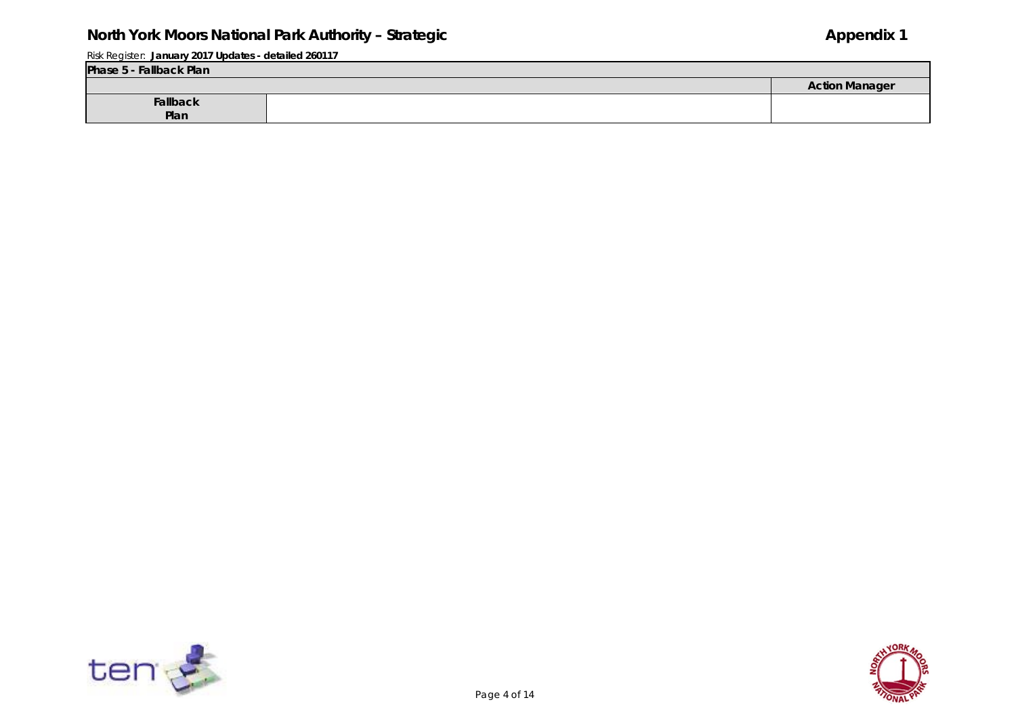Risk Register: **January 2017 Updates - detailed 260117**

| Phase 5 - Fallback Plan |  |                       |  |  |  |  |  |  |  |
|-------------------------|--|-----------------------|--|--|--|--|--|--|--|
|                         |  | <b>Action Manager</b> |  |  |  |  |  |  |  |
| Fallback                |  |                       |  |  |  |  |  |  |  |
| Plan                    |  |                       |  |  |  |  |  |  |  |





-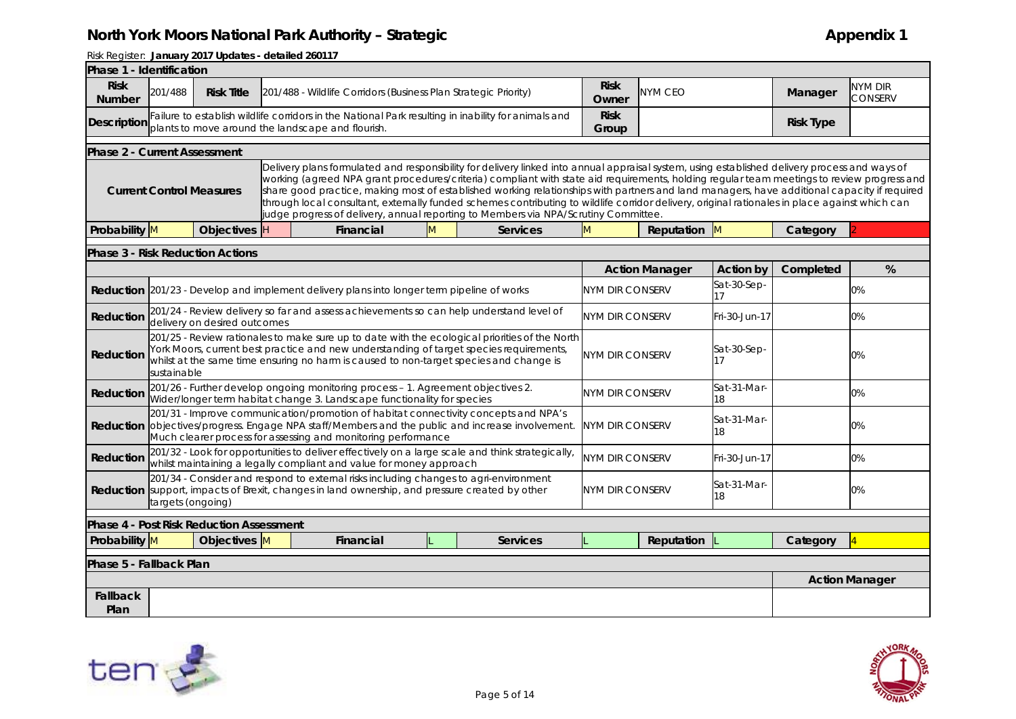| Phase 1 - Identification                |                   |                                                 |     |                                                                                                                                                                                                                                                                                                                                                                                                                                                                                                                                                                                                                                                                                     |   |                        |                                             |                       |                   |                  |                       |
|-----------------------------------------|-------------------|-------------------------------------------------|-----|-------------------------------------------------------------------------------------------------------------------------------------------------------------------------------------------------------------------------------------------------------------------------------------------------------------------------------------------------------------------------------------------------------------------------------------------------------------------------------------------------------------------------------------------------------------------------------------------------------------------------------------------------------------------------------------|---|------------------------|---------------------------------------------|-----------------------|-------------------|------------------|-----------------------|
| <b>Risk</b><br><b>Number</b>            | 201/488           | <b>Risk Title</b>                               |     | 201/488 - Wildlife Corridors (Business Plan Strategic Priority)                                                                                                                                                                                                                                                                                                                                                                                                                                                                                                                                                                                                                     |   |                        | <b>Risk</b><br>Owner                        | <b>NYM CEO</b>        |                   | Manager          | NYM DIR<br>CONSERV    |
| <b>Description</b>                      |                   |                                                 |     | Failure to establish wildlife corridors in the National Park resulting in inability for animals and<br>plants to move around the landscape and flourish.                                                                                                                                                                                                                                                                                                                                                                                                                                                                                                                            |   |                        | <b>Risk</b><br>Group                        |                       |                   | <b>Risk Type</b> |                       |
| <b>Phase 2 - Current Assessment</b>     |                   |                                                 |     |                                                                                                                                                                                                                                                                                                                                                                                                                                                                                                                                                                                                                                                                                     |   |                        |                                             |                       |                   |                  |                       |
|                                         |                   | <b>Current Control Measures</b>                 |     | Delivery plans formulated and responsibility for delivery linked into annual appraisal system, using established delivery process and ways of<br>working (agreed NPA grant procedures/criteria) compliant with state aid requirements, holding regular team meetings to review progress and<br>share good practice, making most of established working relationships with partners and land managers, have additional capacity if required<br>through local consultant, externally funded schemes contributing to wildlife corridor delivery, original rationales in place against which can<br>judge progress of delivery, annual reporting to Members via NPA/Scrutiny Committee. |   |                        |                                             |                       |                   |                  |                       |
| Probability M                           |                   | <b>Objectives</b>                               | lн. | Financial                                                                                                                                                                                                                                                                                                                                                                                                                                                                                                                                                                                                                                                                           | M | <b>Services</b>        | $\mathsf{M}$                                | Reputation M          |                   | Category         |                       |
| <b>Phase 3 - Risk Reduction Actions</b> |                   |                                                 |     |                                                                                                                                                                                                                                                                                                                                                                                                                                                                                                                                                                                                                                                                                     |   |                        |                                             |                       |                   |                  |                       |
|                                         |                   |                                                 |     |                                                                                                                                                                                                                                                                                                                                                                                                                                                                                                                                                                                                                                                                                     |   |                        |                                             | <b>Action Manager</b> | <b>Action by</b>  | Completed        | %                     |
|                                         |                   |                                                 |     | Reduction 201/23 - Develop and implement delivery plans into longer term pipeline of works                                                                                                                                                                                                                                                                                                                                                                                                                                                                                                                                                                                          |   |                        | Sat-30-Sep-<br><b>NYM DIR CONSERV</b><br>17 |                       |                   |                  | 0%                    |
| <b>Reduction</b>                        |                   | delivery on desired outcomes                    |     | 201/24 - Review delivery so far and assess achievements so can help understand level of                                                                                                                                                                                                                                                                                                                                                                                                                                                                                                                                                                                             |   |                        | <b>NYM DIR CONSERV</b>                      |                       | Fri-30-Jun-17     |                  | 0%                    |
| Reduction                               | sustainable       |                                                 |     | 201/25 - Review rationales to make sure up to date with the ecological priorities of the North<br>York Moors, current best practice and new understanding of target species requirements,<br>whilst at the same time ensuring no harm is caused to non-target species and change is                                                                                                                                                                                                                                                                                                                                                                                                 |   |                        | <b>NYM DIR CONSERV</b>                      |                       | Sat-30-Sep-<br>17 |                  | 0%                    |
| Reduction                               |                   |                                                 |     | 201/26 - Further develop ongoing monitoring process - 1. Agreement objectives 2.<br>Wider/longer term habitat change 3. Landscape functionality for species                                                                                                                                                                                                                                                                                                                                                                                                                                                                                                                         |   |                        | <b>NYM DIR CONSERV</b>                      |                       | Sat-31-Mar-<br>18 |                  | 0%                    |
|                                         |                   |                                                 |     | 201/31 - Improve communication/promotion of habitat connectivity concepts and NPA's<br>Reduction objectives/progress. Engage NPA staff/Members and the public and increase involvement.<br>Much clearer process for assessing and monitoring performance                                                                                                                                                                                                                                                                                                                                                                                                                            |   |                        | <b>NYM DIR CONSERV</b>                      |                       | Sat-31-Mar-<br>18 |                  | 0%                    |
| Reduction                               |                   |                                                 |     | 201/32 - Look for opportunities to deliver effectively on a large scale and think strategically,<br>whilst maintaining a legally compliant and value for money approach                                                                                                                                                                                                                                                                                                                                                                                                                                                                                                             |   |                        | <b>NYM DIR CONSERV</b>                      |                       | Fri-30-Jun-17     |                  | 0%                    |
|                                         | targets (ongoing) |                                                 |     | 201/34 - Consider and respond to external risks including changes to agri-environment<br>Reduction support, impacts of Brexit, changes in land ownership, and pressure created by other                                                                                                                                                                                                                                                                                                                                                                                                                                                                                             |   | <b>NYM DIR CONSERV</b> |                                             | Sat-31-Mar-<br>18     |                   | 0%               |                       |
|                                         |                   | <b>Phase 4 - Post Risk Reduction Assessment</b> |     |                                                                                                                                                                                                                                                                                                                                                                                                                                                                                                                                                                                                                                                                                     |   |                        |                                             |                       |                   |                  |                       |
| Probability M                           |                   | Objectives M                                    |     | Financial                                                                                                                                                                                                                                                                                                                                                                                                                                                                                                                                                                                                                                                                           |   | <b>Services</b>        |                                             | Reputation            |                   | Category         |                       |
| Phase 5 - Fallback Plan                 |                   |                                                 |     |                                                                                                                                                                                                                                                                                                                                                                                                                                                                                                                                                                                                                                                                                     |   |                        |                                             |                       |                   |                  |                       |
|                                         |                   |                                                 |     |                                                                                                                                                                                                                                                                                                                                                                                                                                                                                                                                                                                                                                                                                     |   |                        |                                             |                       |                   |                  | <b>Action Manager</b> |
| <b>Fallback</b><br>Plan                 |                   |                                                 |     |                                                                                                                                                                                                                                                                                                                                                                                                                                                                                                                                                                                                                                                                                     |   |                        |                                             |                       |                   |                  |                       |



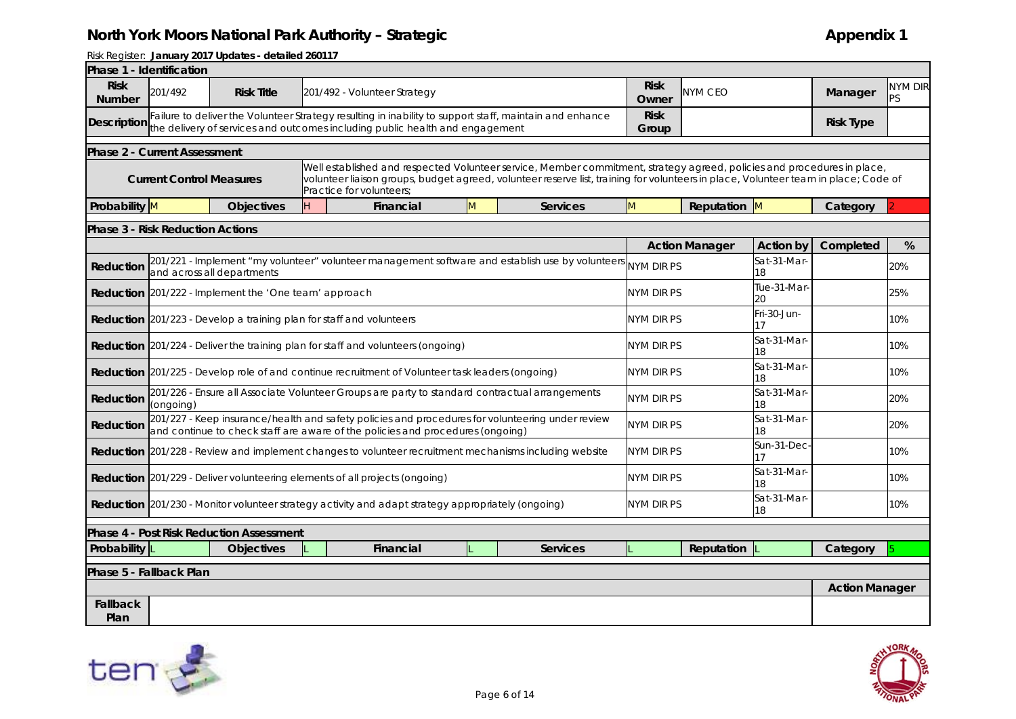|                              | Phase 1 - Identification                |                                                              |                                                                                                                                                                                         |   |                                                                                                                                                                                                                                                                |                      |                       |                   |                       |                      |
|------------------------------|-----------------------------------------|--------------------------------------------------------------|-----------------------------------------------------------------------------------------------------------------------------------------------------------------------------------------|---|----------------------------------------------------------------------------------------------------------------------------------------------------------------------------------------------------------------------------------------------------------------|----------------------|-----------------------|-------------------|-----------------------|----------------------|
| <b>Risk</b><br><b>Number</b> | 201/492                                 | <b>Risk Title</b>                                            | 201/492 - Volunteer Strategy                                                                                                                                                            |   |                                                                                                                                                                                                                                                                | <b>Risk</b><br>Owner | NYM CEO               |                   | Manager               | <b>NYM DIR</b><br>PS |
| <b>Description</b>           |                                         |                                                              | Failure to deliver the Volunteer Strategy resulting in inability to support staff, maintain and enhance<br>the delivery of services and outcomes including public health and engagement |   |                                                                                                                                                                                                                                                                | <b>Risk</b><br>Group |                       |                   | <b>Risk Type</b>      |                      |
|                              | <b>Phase 2 - Current Assessment</b>     |                                                              |                                                                                                                                                                                         |   |                                                                                                                                                                                                                                                                |                      |                       |                   |                       |                      |
|                              | <b>Current Control Measures</b>         |                                                              | Practice for volunteers;                                                                                                                                                                |   | Well established and respected Volunteer service, Member commitment, strategy agreed, policies and procedures in place,<br>volunteer liaison groups, budget agreed, volunteer reserve list, training for volunteers in place, Volunteer team in place; Code of |                      |                       |                   |                       |                      |
| Probability M                |                                         | <b>Objectives</b>                                            | Financial                                                                                                                                                                               | M | <b>Services</b>                                                                                                                                                                                                                                                | M                    | Reputation M          |                   | Category              |                      |
|                              | <b>Phase 3 - Risk Reduction Actions</b> |                                                              |                                                                                                                                                                                         |   |                                                                                                                                                                                                                                                                |                      |                       |                   |                       |                      |
|                              |                                         |                                                              |                                                                                                                                                                                         |   |                                                                                                                                                                                                                                                                |                      | <b>Action Manager</b> | <b>Action by</b>  | Completed             | %                    |
| Reduction                    |                                         | and across all departments                                   |                                                                                                                                                                                         |   | 201/221 - Implement "my volunteer" volunteer management software and establish use by volunteers                                                                                                                                                               | NYM DIR PS           |                       | Sat-31-Mar-<br>18 |                       | 20%                  |
|                              |                                         | <b>Reduction</b> 201/222 - Implement the 'One team' approach |                                                                                                                                                                                         |   |                                                                                                                                                                                                                                                                | <b>NYM DIR PS</b>    |                       | Tue-31-Mar<br>20  |                       | 25%                  |
|                              |                                         |                                                              | <b>Reduction</b> 201/223 - Develop a training plan for staff and volunteers                                                                                                             |   | nym dir PS                                                                                                                                                                                                                                                     |                      | Fri-30-Jun-           |                   | 10%                   |                      |
|                              |                                         |                                                              | <b>Reduction</b> 201/224 - Deliver the training plan for staff and volunteers (ongoing)                                                                                                 |   | NYM DIR PS                                                                                                                                                                                                                                                     |                      | Sat-31-Mar-<br>18     |                   | 10%                   |                      |
|                              |                                         |                                                              | <b>Reduction</b> 201/225 - Develop role of and continue recruitment of Volunteer task leaders (ongoing)                                                                                 |   |                                                                                                                                                                                                                                                                | NYM DIR PS           |                       | Sat-31-Mar-<br>18 |                       | 10%                  |
| Reduction                    | (ongoing)                               |                                                              | 201/226 - Ensure all Associate Volunteer Groups are party to standard contractual arrangements                                                                                          |   |                                                                                                                                                                                                                                                                | NYM DIR PS           |                       | Sat-31-Mar-<br>18 |                       | 20%                  |
| Reduction                    |                                         |                                                              | 201/227 - Keep insurance/health and safety policies and procedures for volunteering under review<br>and continue to check staff are aware of the policies and procedures (ongoing)      |   |                                                                                                                                                                                                                                                                | NYM DIR PS           |                       | Sat-31-Mar-<br>18 |                       | 20%                  |
|                              |                                         |                                                              | Reduction 201/228 - Review and implement changes to volunteer recruitment mechanisms including website                                                                                  |   |                                                                                                                                                                                                                                                                | NYM DIR PS           |                       | Sun-31-Dec-<br>17 |                       | 10%                  |
|                              |                                         |                                                              | <b>Reduction</b> 201/229 - Deliver volunteering elements of all projects (ongoing)                                                                                                      |   |                                                                                                                                                                                                                                                                | NYM DIR PS           |                       | Sat-31-Mar-<br>18 |                       | 10%                  |
|                              |                                         |                                                              | <b>Reduction</b> 201/230 - Monitor volunteer strategy activity and adapt strategy appropriately (ongoing)                                                                               |   |                                                                                                                                                                                                                                                                | NYM DIR PS           |                       | Sat-31-Mar-<br>18 |                       | 10%                  |
|                              |                                         | <b>Phase 4 - Post Risk Reduction Assessment</b>              |                                                                                                                                                                                         |   |                                                                                                                                                                                                                                                                |                      |                       |                   |                       |                      |
| Probability L                |                                         | <b>Objectives</b>                                            | Financial                                                                                                                                                                               |   | Services                                                                                                                                                                                                                                                       |                      | Reputation            |                   | Category              |                      |
|                              | Phase 5 - Fallback Plan                 |                                                              |                                                                                                                                                                                         |   |                                                                                                                                                                                                                                                                |                      |                       |                   |                       |                      |
|                              |                                         |                                                              |                                                                                                                                                                                         |   |                                                                                                                                                                                                                                                                |                      |                       |                   | <b>Action Manager</b> |                      |
| <b>Fallback</b><br>Plan      |                                         |                                                              |                                                                                                                                                                                         |   |                                                                                                                                                                                                                                                                |                      |                       |                   |                       |                      |



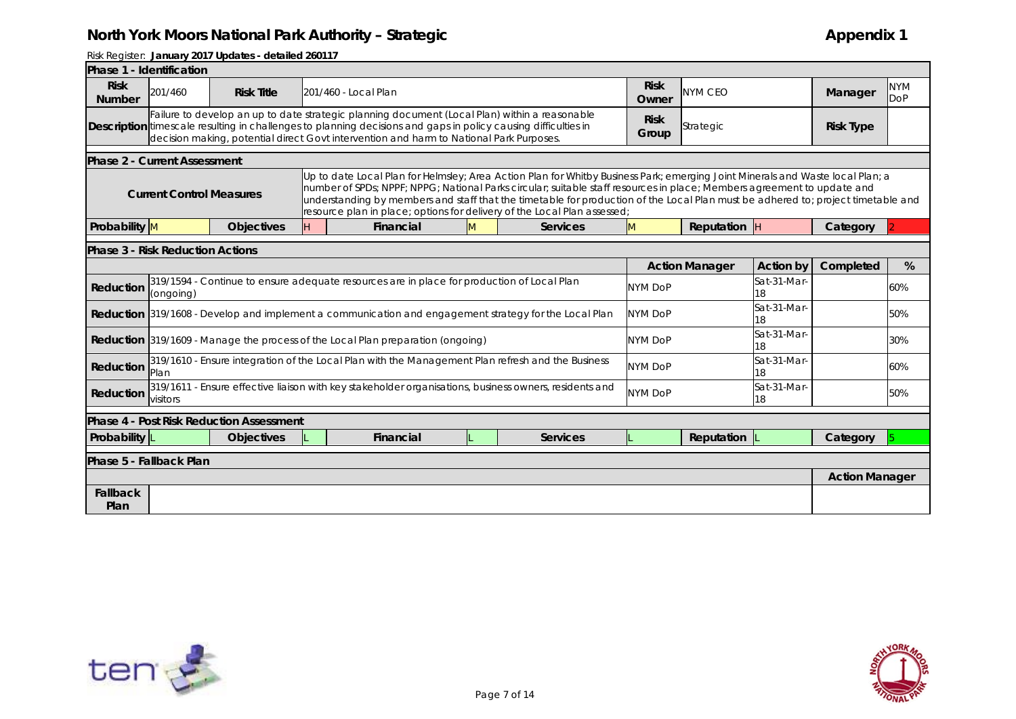| Phase 1 - Identification     |                                         |                                                 |  |                                                                                                                                                                                                                                                                                                                                                                                                                                                                           |   |                 |                      |                       |                   |                       |                          |  |
|------------------------------|-----------------------------------------|-------------------------------------------------|--|---------------------------------------------------------------------------------------------------------------------------------------------------------------------------------------------------------------------------------------------------------------------------------------------------------------------------------------------------------------------------------------------------------------------------------------------------------------------------|---|-----------------|----------------------|-----------------------|-------------------|-----------------------|--------------------------|--|
| <b>Risk</b><br><b>Number</b> | 201/460                                 | <b>Risk Title</b>                               |  | 201/460 - Local Plan                                                                                                                                                                                                                                                                                                                                                                                                                                                      |   |                 | <b>Risk</b><br>Owner | NYM CEO               |                   | Manager               | <b>NYM</b><br><b>DoP</b> |  |
|                              |                                         |                                                 |  | Failure to develop an up to date strategic planning document (Local Plan) within a reasonable<br>Description timescale resulting in challenges to planning decisions and gaps in policy causing difficulties in<br>decision making, potential direct Govt intervention and harm to National Park Purposes.                                                                                                                                                                |   |                 | <b>Risk</b><br>Group | Strategic             |                   | <b>Risk Type</b>      |                          |  |
|                              | <b>Phase 2 - Current Assessment</b>     |                                                 |  |                                                                                                                                                                                                                                                                                                                                                                                                                                                                           |   |                 |                      |                       |                   |                       |                          |  |
|                              | <b>Current Control Measures</b>         |                                                 |  | Up to date Local Plan for Helmsley; Area Action Plan for Whitby Business Park; emerging Joint Minerals and Waste local Plan; a<br>number of SPDs; NPPF; NPPG; National Parks circular; suitable staff resources in place; Members agreement to update and<br>understanding by members and staff that the timetable for production of the Local Plan must be adhered to; project timetable and<br>resource plan in place; options for delivery of the Local Plan assessed; |   |                 |                      |                       |                   |                       |                          |  |
| Probability M                |                                         | <b>Objectives</b>                               |  | Financial                                                                                                                                                                                                                                                                                                                                                                                                                                                                 | M | Services        | M                    | Reputation $ $ H      |                   | Category              |                          |  |
|                              | <b>Phase 3 - Risk Reduction Actions</b> |                                                 |  |                                                                                                                                                                                                                                                                                                                                                                                                                                                                           |   |                 |                      |                       |                   |                       |                          |  |
|                              |                                         |                                                 |  |                                                                                                                                                                                                                                                                                                                                                                                                                                                                           |   |                 |                      | <b>Action Manager</b> | <b>Action by</b>  | Completed             | %                        |  |
| Reduction                    | (ongoing)                               |                                                 |  | 319/1594 - Continue to ensure adequate resources are in place for production of Local Plan                                                                                                                                                                                                                                                                                                                                                                                |   |                 | <b>NYM DoP</b>       | Sat-31-Mar-<br>18     |                   |                       | 60%                      |  |
|                              |                                         |                                                 |  | <b>Reduction</b> 319/1608 - Develop and implement a communication and engagement strategy for the Local Plan                                                                                                                                                                                                                                                                                                                                                              |   |                 | <b>NYM DoP</b>       |                       | Sat-31-Mar-<br>18 |                       | 50%                      |  |
|                              |                                         |                                                 |  | <b>Reduction</b> 319/1609 - Manage the process of the Local Plan preparation (ongoing)                                                                                                                                                                                                                                                                                                                                                                                    |   |                 | <b>NYM DoP</b>       |                       | Sat-31-Mar-<br>18 |                       | 30%                      |  |
| Reduction                    | Plan                                    |                                                 |  | 319/1610 - Ensure integration of the Local Plan with the Management Plan refresh and the Business                                                                                                                                                                                                                                                                                                                                                                         |   |                 | <b>NYM DoP</b>       |                       | Sat-31-Mar-<br>18 |                       | 60%                      |  |
| Reduction                    | visitors                                |                                                 |  | 319/1611 - Ensure effective liaison with key stakeholder organisations, business owners, residents and                                                                                                                                                                                                                                                                                                                                                                    |   |                 | <b>NYM DoP</b>       |                       | Sat-31-Mar-<br>18 |                       | 50%                      |  |
|                              |                                         | <b>Phase 4 - Post Risk Reduction Assessment</b> |  |                                                                                                                                                                                                                                                                                                                                                                                                                                                                           |   |                 |                      |                       |                   |                       |                          |  |
| Probability L                |                                         | <b>Objectives</b>                               |  | Financial                                                                                                                                                                                                                                                                                                                                                                                                                                                                 |   | <b>Services</b> |                      | Reputation            |                   | Category              |                          |  |
|                              | Phase 5 - Fallback Plan                 |                                                 |  |                                                                                                                                                                                                                                                                                                                                                                                                                                                                           |   |                 |                      |                       |                   |                       |                          |  |
|                              |                                         |                                                 |  |                                                                                                                                                                                                                                                                                                                                                                                                                                                                           |   |                 |                      |                       |                   | <b>Action Manager</b> |                          |  |
| Fallback<br>Plan             |                                         |                                                 |  |                                                                                                                                                                                                                                                                                                                                                                                                                                                                           |   |                 |                      |                       |                   |                       |                          |  |



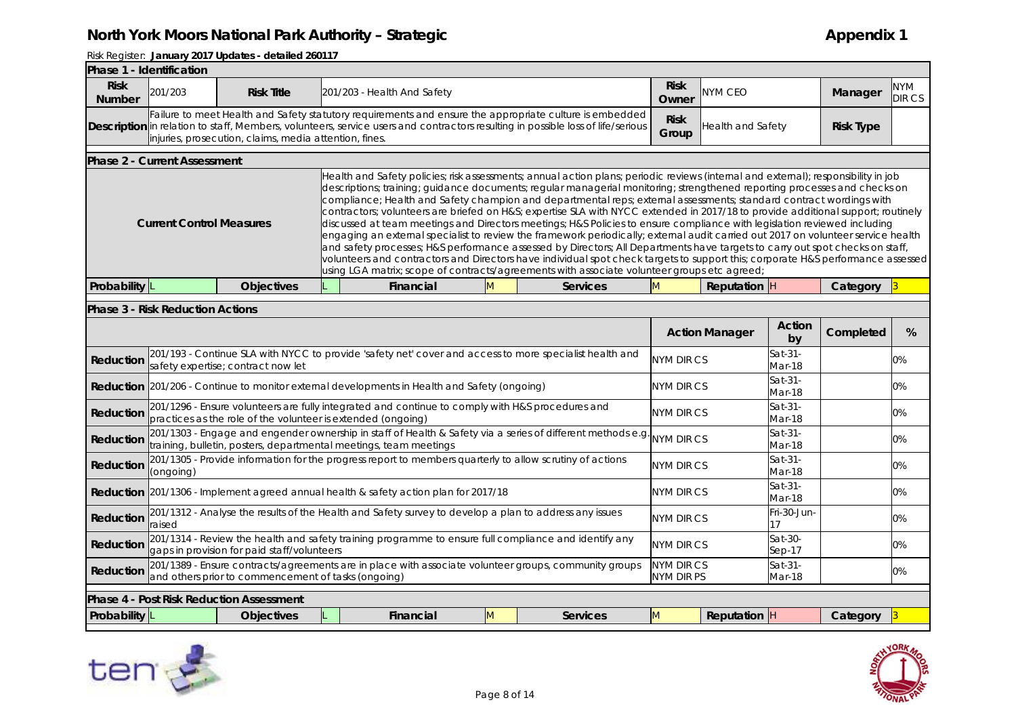| Phase 1 - Identification                                                                                                                                                                                                                                                                                                                                                                                                                                                                                                                                                                                                                                                                                                                                                                                                                                                                                                                                                                                                                                                                                                                                                                                                                                                                               |                                         |                                                              |  |                                                                                                                                                                                                                                            |  |                   |                                 |                       |                     |           |               |
|--------------------------------------------------------------------------------------------------------------------------------------------------------------------------------------------------------------------------------------------------------------------------------------------------------------------------------------------------------------------------------------------------------------------------------------------------------------------------------------------------------------------------------------------------------------------------------------------------------------------------------------------------------------------------------------------------------------------------------------------------------------------------------------------------------------------------------------------------------------------------------------------------------------------------------------------------------------------------------------------------------------------------------------------------------------------------------------------------------------------------------------------------------------------------------------------------------------------------------------------------------------------------------------------------------|-----------------------------------------|--------------------------------------------------------------|--|--------------------------------------------------------------------------------------------------------------------------------------------------------------------------------------------------------------------------------------------|--|-------------------|---------------------------------|-----------------------|---------------------|-----------|---------------|
| <b>Risk</b><br><b>Number</b>                                                                                                                                                                                                                                                                                                                                                                                                                                                                                                                                                                                                                                                                                                                                                                                                                                                                                                                                                                                                                                                                                                                                                                                                                                                                           | 201/203                                 | <b>Risk Title</b>                                            |  | 201/203 - Health And Safety                                                                                                                                                                                                                |  |                   | <b>Risk</b><br>Owner            | NYM CEO               |                     | Manager   | NYM<br>DIR CS |
|                                                                                                                                                                                                                                                                                                                                                                                                                                                                                                                                                                                                                                                                                                                                                                                                                                                                                                                                                                                                                                                                                                                                                                                                                                                                                                        |                                         | injuries, prosecution, claims, media attention, fines.       |  | Failure to meet Health and Safety statutory requirements and ensure the appropriate culture is embedded<br>Description in relation to staff, Members, volunteers, service users and contractors resulting in possible loss of life/serious |  |                   | <b>Risk</b><br>Group            | Health and Safety     | <b>Risk Type</b>    |           |               |
|                                                                                                                                                                                                                                                                                                                                                                                                                                                                                                                                                                                                                                                                                                                                                                                                                                                                                                                                                                                                                                                                                                                                                                                                                                                                                                        | <b>Phase 2 - Current Assessment</b>     |                                                              |  |                                                                                                                                                                                                                                            |  |                   |                                 |                       |                     |           |               |
| Health and Safety policies; risk assessments; annual action plans; periodic reviews (internal and external); responsibility in job<br>descriptions; training; guidance documents; regular managerial monitoring; strengthened reporting processes and checks on<br>compliance; Health and Safety champion and departmental reps; external assessments; standard contract wordings with<br>contractors; volunteers are briefed on H&S expertise SLA with NYCC extended in 2017/18 to provide additional support; routinely<br>discussed at team meetings and Directors meetings; H&S Policies to ensure compliance with legislation reviewed including<br><b>Current Control Measures</b><br>engaging an external specialist to review the framework periodically; external audit carried out 2017 on volunteer service health<br>and safety processes; H&S performance assessed by Directors; All Departments have targets to carry out spot checks on staff,<br>volunteers and contractors and Directors have individual spot check targets to support this; corporate H&S performance assessed<br>using LGA matrix; scope of contracts/agreements with associate volunteer groups etc agreed;<br>Probability L<br><b>Objectives</b><br>Financial<br>M<br><b>Services</b><br>M<br><b>Reputation</b> H |                                         |                                                              |  |                                                                                                                                                                                                                                            |  |                   |                                 |                       |                     |           |               |
|                                                                                                                                                                                                                                                                                                                                                                                                                                                                                                                                                                                                                                                                                                                                                                                                                                                                                                                                                                                                                                                                                                                                                                                                                                                                                                        |                                         |                                                              |  |                                                                                                                                                                                                                                            |  |                   |                                 |                       |                     | Category  |               |
|                                                                                                                                                                                                                                                                                                                                                                                                                                                                                                                                                                                                                                                                                                                                                                                                                                                                                                                                                                                                                                                                                                                                                                                                                                                                                                        | <b>Phase 3 - Risk Reduction Actions</b> |                                                              |  |                                                                                                                                                                                                                                            |  |                   |                                 |                       |                     |           |               |
|                                                                                                                                                                                                                                                                                                                                                                                                                                                                                                                                                                                                                                                                                                                                                                                                                                                                                                                                                                                                                                                                                                                                                                                                                                                                                                        |                                         |                                                              |  |                                                                                                                                                                                                                                            |  |                   |                                 | <b>Action Manager</b> | <b>Action</b><br>by | Completed | %             |
| Reduction                                                                                                                                                                                                                                                                                                                                                                                                                                                                                                                                                                                                                                                                                                                                                                                                                                                                                                                                                                                                                                                                                                                                                                                                                                                                                              |                                         | safety expertise; contract now let                           |  | 201/193 - Continue SLA with NYCC to provide 'safety net' cover and access to more specialist health and                                                                                                                                    |  |                   | NYM DIR CS                      |                       | $Sat-31-$<br>Mar-18 |           | 0%            |
|                                                                                                                                                                                                                                                                                                                                                                                                                                                                                                                                                                                                                                                                                                                                                                                                                                                                                                                                                                                                                                                                                                                                                                                                                                                                                                        |                                         |                                                              |  | <b>Reduction</b> 201/206 - Continue to monitor external developments in Health and Safety (ongoing)                                                                                                                                        |  |                   | <b>NYM DIR CS</b>               |                       | Sat-31-<br>Mar-18   |           | 0%            |
| Reduction                                                                                                                                                                                                                                                                                                                                                                                                                                                                                                                                                                                                                                                                                                                                                                                                                                                                                                                                                                                                                                                                                                                                                                                                                                                                                              |                                         | practices as the role of the volunteer is extended (ongoing) |  | 201/1296 - Ensure volunteers are fully integrated and continue to comply with H&S procedures and                                                                                                                                           |  |                   | NYM DIR CS                      |                       | $Sat-31-$<br>Mar-18 |           | 0%            |
| Reduction                                                                                                                                                                                                                                                                                                                                                                                                                                                                                                                                                                                                                                                                                                                                                                                                                                                                                                                                                                                                                                                                                                                                                                                                                                                                                              |                                         |                                                              |  | 201/1303 - Engage and engender ownership in staff of Health & Safety via a series of different methods e.g.<br>training, bulletin, posters, departmental meetings, team meetings                                                           |  |                   | <b>NYM DIR CS</b>               |                       | Sat-31-<br>Mar-18   |           | $0\%$         |
| Reduction                                                                                                                                                                                                                                                                                                                                                                                                                                                                                                                                                                                                                                                                                                                                                                                                                                                                                                                                                                                                                                                                                                                                                                                                                                                                                              | (ongoing)                               |                                                              |  | 201/1305 - Provide information for the progress report to members quarterly to allow scrutiny of actions                                                                                                                                   |  |                   | NYM DIR CS                      |                       | $Sat-31-$<br>Mar-18 |           | 0%            |
|                                                                                                                                                                                                                                                                                                                                                                                                                                                                                                                                                                                                                                                                                                                                                                                                                                                                                                                                                                                                                                                                                                                                                                                                                                                                                                        |                                         |                                                              |  | Reduction 201/1306 - Implement agreed annual health & safety action plan for 2017/18                                                                                                                                                       |  |                   | NYM DIR CS                      |                       | Sat-31-<br>Mar-18   |           | 0%            |
| Reduction                                                                                                                                                                                                                                                                                                                                                                                                                                                                                                                                                                                                                                                                                                                                                                                                                                                                                                                                                                                                                                                                                                                                                                                                                                                                                              | raised                                  |                                                              |  | 201/1312 - Analyse the results of the Health and Safety survey to develop a plan to address any issues                                                                                                                                     |  | NYM DIR CS        |                                 | Fri-30-Jun-<br>17     |                     | 0%        |               |
| Reduction                                                                                                                                                                                                                                                                                                                                                                                                                                                                                                                                                                                                                                                                                                                                                                                                                                                                                                                                                                                                                                                                                                                                                                                                                                                                                              |                                         | gaps in provision for paid staff/volunteers                  |  | 201/1314 - Review the health and safety training programme to ensure full compliance and identify any                                                                                                                                      |  | <b>NYM DIR CS</b> |                                 | Sat-30-<br>$Sep-17$   |                     | $0\%$     |               |
| Reduction                                                                                                                                                                                                                                                                                                                                                                                                                                                                                                                                                                                                                                                                                                                                                                                                                                                                                                                                                                                                                                                                                                                                                                                                                                                                                              |                                         | and others prior to commencement of tasks (ongoing)          |  | 201/1389 - Ensure contracts/agreements are in place with associate volunteer groups, community groups                                                                                                                                      |  |                   | <b>NYM DIR CS</b><br>NYM DIR PS |                       | Sat-31-<br>Mar-18   |           | 0%            |
|                                                                                                                                                                                                                                                                                                                                                                                                                                                                                                                                                                                                                                                                                                                                                                                                                                                                                                                                                                                                                                                                                                                                                                                                                                                                                                        |                                         | <b>Phase 4 - Post Risk Reduction Assessment</b>              |  |                                                                                                                                                                                                                                            |  |                   |                                 |                       |                     |           |               |
| Probability $ L$                                                                                                                                                                                                                                                                                                                                                                                                                                                                                                                                                                                                                                                                                                                                                                                                                                                                                                                                                                                                                                                                                                                                                                                                                                                                                       |                                         | <b>Objectives</b>                                            |  | Financial<br>M                                                                                                                                                                                                                             |  | <b>Services</b>   | M                               | Reputation $ H $      |                     | Category  |               |



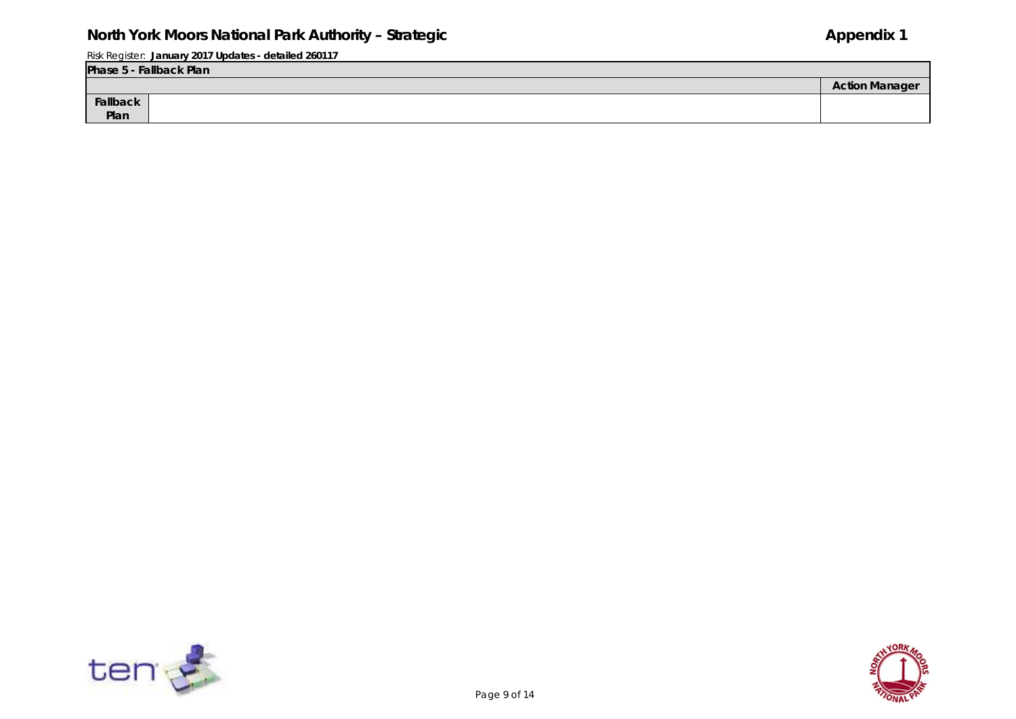|          | Phase 5 - Fallback Plan |                       |  |  |  |  |  |  |  |  |
|----------|-------------------------|-----------------------|--|--|--|--|--|--|--|--|
|          |                         | <b>Action Manager</b> |  |  |  |  |  |  |  |  |
| Fallback |                         |                       |  |  |  |  |  |  |  |  |
| Plan     |                         |                       |  |  |  |  |  |  |  |  |



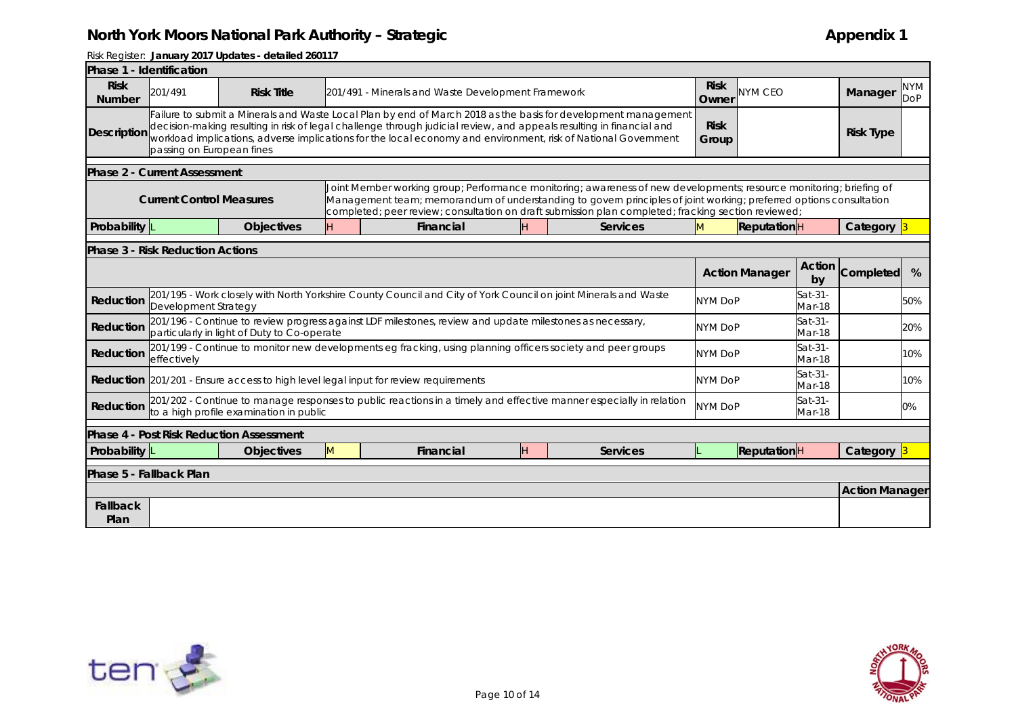| Phase 1 - Identification     |                                         |                                             |                                                                                                                 |                                                                                                                                                                                                                                                                                                                                                          |    |                   |                      |                       |                   |                       |                          |
|------------------------------|-----------------------------------------|---------------------------------------------|-----------------------------------------------------------------------------------------------------------------|----------------------------------------------------------------------------------------------------------------------------------------------------------------------------------------------------------------------------------------------------------------------------------------------------------------------------------------------------------|----|-------------------|----------------------|-----------------------|-------------------|-----------------------|--------------------------|
| <b>Risk</b><br><b>Number</b> | 201/491                                 | <b>Risk Title</b>                           |                                                                                                                 | 201/491 - Minerals and Waste Development Framework                                                                                                                                                                                                                                                                                                       |    |                   | <b>Risk</b><br>Owner | <b>NYM CEO</b>        |                   | Manager               | <b>NYM</b><br><b>DoP</b> |
| Description                  | passing on European fines               |                                             |                                                                                                                 | Failure to submit a Minerals and Waste Local Plan by end of March 2018 as the basis for development management<br>decision-making resulting in risk of legal challenge through judicial review, and appeals resulting in financial and<br>workload implications, adverse implications for the local economy and environment, risk of National Government |    |                   | <b>Risk</b><br>Group |                       |                   | <b>Risk Type</b>      |                          |
|                              | <b>Phase 2 - Current Assessment</b>     |                                             |                                                                                                                 |                                                                                                                                                                                                                                                                                                                                                          |    |                   |                      |                       |                   |                       |                          |
|                              | <b>Current Control Measures</b>         |                                             |                                                                                                                 | Joint Member working group; Performance monitoring; awareness of new developments; resource monitoring; briefing of<br>Management team; memorandum of understanding to govern principles of joint working; preferred options consultation<br>completed; peer review; consultation on draft submission plan completed; fracking section reviewed;         |    |                   |                      |                       |                   |                       |                          |
| Probability                  |                                         | <b>Objectives</b>                           |                                                                                                                 | Financial                                                                                                                                                                                                                                                                                                                                                | H  | <b>Services</b>   | M                    | <b>Reputation</b> H   |                   | Category 3            |                          |
|                              | <b>Phase 3 - Risk Reduction Actions</b> |                                             |                                                                                                                 |                                                                                                                                                                                                                                                                                                                                                          |    |                   |                      |                       |                   |                       |                          |
|                              |                                         |                                             |                                                                                                                 |                                                                                                                                                                                                                                                                                                                                                          |    |                   |                      | <b>Action Manager</b> | Action<br>by      | Completed             | %                        |
| Reduction                    | Development Strategy                    |                                             | 201/195 - Work closely with North Yorkshire County Council and City of York Council on joint Minerals and Waste | <b>NYM DoP</b>                                                                                                                                                                                                                                                                                                                                           |    | Sat-31-<br>Mar-18 |                      | 50%                   |                   |                       |                          |
| Reduction                    |                                         | particularly in light of Duty to Co-operate |                                                                                                                 | 201/196 - Continue to review progress against LDF milestones, review and update milestones as necessary,                                                                                                                                                                                                                                                 |    |                   | <b>NYM DoP</b>       |                       | Sat-31-<br>Mar-18 |                       | 20%                      |
| Reduction                    | effectively                             |                                             |                                                                                                                 | 201/199 - Continue to monitor new developments eg fracking, using planning officers society and peer groups                                                                                                                                                                                                                                              |    |                   | <b>NYM DoP</b>       |                       | Sat-31-<br>Mar-18 |                       | 10%                      |
|                              |                                         |                                             |                                                                                                                 | <b>Reduction</b> 201/201 - Ensure access to high level legal input for review requirements                                                                                                                                                                                                                                                               |    |                   | <b>NYM DoP</b>       |                       | Sat-31-<br>Mar-18 |                       | 10%                      |
| Reduction                    |                                         | to a high profile examination in public     |                                                                                                                 | 201/202 - Continue to manage responses to public reactions in a timely and effective manner especially in relation                                                                                                                                                                                                                                       |    |                   | <b>NYM DoP</b>       |                       | Sat-31-<br>Mar-18 |                       | 0%                       |
|                              |                                         | Phase 4 - Post Risk Reduction Assessment    |                                                                                                                 |                                                                                                                                                                                                                                                                                                                                                          |    |                   |                      |                       |                   |                       |                          |
| <b>Probability</b>           |                                         | <b>Objectives</b>                           | M                                                                                                               | Financial                                                                                                                                                                                                                                                                                                                                                | H. | Services          |                      | ReputationH           |                   | Category 3            |                          |
| Phase 5 - Fallback Plan      |                                         |                                             |                                                                                                                 |                                                                                                                                                                                                                                                                                                                                                          |    |                   |                      |                       |                   |                       |                          |
|                              |                                         |                                             |                                                                                                                 |                                                                                                                                                                                                                                                                                                                                                          |    |                   |                      |                       |                   | <b>Action Manager</b> |                          |
| Fallback<br>Plan             |                                         |                                             |                                                                                                                 |                                                                                                                                                                                                                                                                                                                                                          |    |                   |                      |                       |                   |                       |                          |



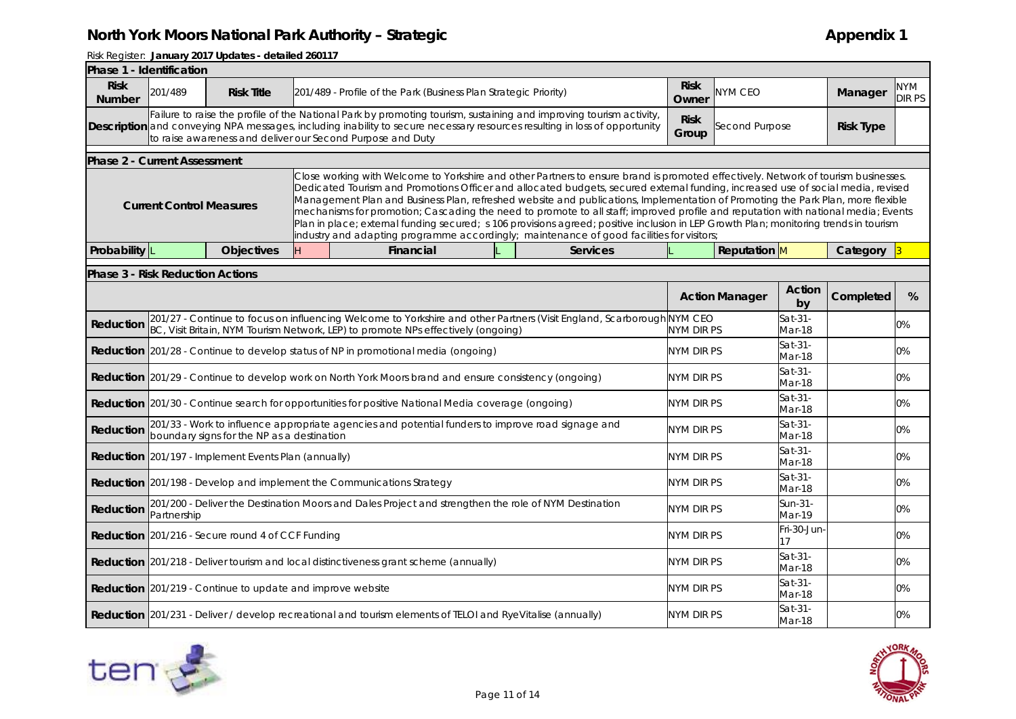| Phase 1 - Identification                |                                 |                                                                   |    |                                                                                                                                                                                                                                                                                                                                                                                                                                                                                                                                                                                                                                                                                                                                                                                      |  |                 |                      |                       |                   |                  |                      |
|-----------------------------------------|---------------------------------|-------------------------------------------------------------------|----|--------------------------------------------------------------------------------------------------------------------------------------------------------------------------------------------------------------------------------------------------------------------------------------------------------------------------------------------------------------------------------------------------------------------------------------------------------------------------------------------------------------------------------------------------------------------------------------------------------------------------------------------------------------------------------------------------------------------------------------------------------------------------------------|--|-----------------|----------------------|-----------------------|-------------------|------------------|----------------------|
| <b>Risk</b><br><b>Number</b>            | 201/489                         | <b>Risk Title</b>                                                 |    | 201/489 - Profile of the Park (Business Plan Strategic Priority)                                                                                                                                                                                                                                                                                                                                                                                                                                                                                                                                                                                                                                                                                                                     |  |                 | <b>Risk</b><br>Owner | NYM CEO               |                   | Manager          | NYM<br><b>DIR PS</b> |
|                                         |                                 |                                                                   |    | Failure to raise the profile of the National Park by promoting tourism, sustaining and improving tourism activity,<br><b>Description</b> and conveying NPA messages, including inability to secure necessary resources resulting in loss of opportunity<br>to raise awareness and deliver our Second Purpose and Duty                                                                                                                                                                                                                                                                                                                                                                                                                                                                |  |                 | <b>Risk</b><br>Group | Second Purpose        |                   | <b>Risk Type</b> |                      |
| <b>Phase 2 - Current Assessment</b>     |                                 |                                                                   |    |                                                                                                                                                                                                                                                                                                                                                                                                                                                                                                                                                                                                                                                                                                                                                                                      |  |                 |                      |                       |                   |                  |                      |
|                                         | <b>Current Control Measures</b> |                                                                   |    | Close working with Welcome to Yorkshire and other Partners to ensure brand is promoted effectively. Network of tourism businesses.<br>Dedicated Tourism and Promotions Officer and allocated budgets, secured external funding, increased use of social media, revised<br>Management Plan and Business Plan, refreshed website and publications, Implementation of Promoting the Park Plan, more flexible<br>mechanisms for promotion; Cascading the need to promote to all staff; improved profile and reputation with national media; Events<br>Plan in place; external funding secured; s 106 provisions agreed; positive inclusion in LEP Growth Plan; monitoring trends in tourism<br>industry and adapting programme accordingly; maintenance of good facilities for visitors; |  |                 |                      |                       |                   |                  |                      |
| Probability                             |                                 | <b>Objectives</b>                                                 | H. | Financial                                                                                                                                                                                                                                                                                                                                                                                                                                                                                                                                                                                                                                                                                                                                                                            |  | <b>Services</b> |                      | Reputation M          |                   | Category         |                      |
| <b>Phase 3 - Risk Reduction Actions</b> |                                 |                                                                   |    |                                                                                                                                                                                                                                                                                                                                                                                                                                                                                                                                                                                                                                                                                                                                                                                      |  |                 |                      |                       |                   |                  |                      |
|                                         |                                 |                                                                   |    |                                                                                                                                                                                                                                                                                                                                                                                                                                                                                                                                                                                                                                                                                                                                                                                      |  |                 |                      | <b>Action Manager</b> | Action<br>by      | Completed        | %                    |
| Reduction                               |                                 |                                                                   |    | 201/27 - Continue to focus on influencing Welcome to Yorkshire and other Partners (Visit England, Scarborough NYM CEO<br>BC, Visit Britain, NYM Tourism Network, LEP) to promote NPs effectively (ongoing)                                                                                                                                                                                                                                                                                                                                                                                                                                                                                                                                                                           |  |                 | NYM DIR PS           |                       | Sat-31-<br>Mar-18 |                  | 0%                   |
|                                         |                                 |                                                                   |    | <b>Reduction</b> 201/28 - Continue to develop status of NP in promotional media (ongoing)                                                                                                                                                                                                                                                                                                                                                                                                                                                                                                                                                                                                                                                                                            |  |                 | NYM DIR PS           |                       | Sat-31-<br>Mar-18 |                  | 0%                   |
|                                         |                                 |                                                                   |    | Reduction 201/29 - Continue to develop work on North York Moors brand and ensure consistency (ongoing)                                                                                                                                                                                                                                                                                                                                                                                                                                                                                                                                                                                                                                                                               |  |                 | <b>NYM DIR PS</b>    |                       | Sat-31-<br>Mar-18 |                  | 0%                   |
|                                         |                                 |                                                                   |    | <b>Reduction</b> 201/30 - Continue search for opportunities for positive National Media coverage (ongoing)                                                                                                                                                                                                                                                                                                                                                                                                                                                                                                                                                                                                                                                                           |  |                 | NYM DIR PS           |                       | Sat-31-<br>Mar-18 |                  | 0%                   |
| Reduction                               |                                 | boundary signs for the NP as a destination                        |    | 201/33 - Work to influence appropriate agencies and potential funders to improve road signage and                                                                                                                                                                                                                                                                                                                                                                                                                                                                                                                                                                                                                                                                                    |  |                 | NYM DIR PS           |                       | Sat-31-<br>Mar-18 |                  | 0%                   |
|                                         |                                 | <b>Reduction</b> 201/197 - Implement Events Plan (annually)       |    |                                                                                                                                                                                                                                                                                                                                                                                                                                                                                                                                                                                                                                                                                                                                                                                      |  |                 | NYM DIR PS           |                       | Sat-31-<br>Mar-18 |                  | 0%                   |
|                                         |                                 |                                                                   |    | <b>Reduction</b> 201/198 - Develop and implement the Communications Strategy                                                                                                                                                                                                                                                                                                                                                                                                                                                                                                                                                                                                                                                                                                         |  |                 | NYM DIR PS           |                       | Sat-31-<br>Mar-18 |                  | 0%                   |
| Reduction                               | Partnership                     |                                                                   |    | 201/200 - Deliver the Destination Moors and Dales Project and strengthen the role of NYM Destination                                                                                                                                                                                                                                                                                                                                                                                                                                                                                                                                                                                                                                                                                 |  |                 | NYM DIR PS           |                       | Sun-31-<br>Mar-19 |                  | 0%                   |
|                                         |                                 | <b>Reduction</b> 201/216 - Secure round 4 of CCF Funding          |    |                                                                                                                                                                                                                                                                                                                                                                                                                                                                                                                                                                                                                                                                                                                                                                                      |  |                 | NYM DIR PS           |                       | Fri-30-Jun<br>17  |                  | 0%                   |
|                                         |                                 |                                                                   |    | <b>Reduction</b> 201/218 - Deliver tourism and local distinctiveness grant scheme (annually)                                                                                                                                                                                                                                                                                                                                                                                                                                                                                                                                                                                                                                                                                         |  |                 | NYM DIR PS           |                       | Sat-31-<br>Mar-18 |                  | 0%                   |
|                                         |                                 | <b>Reduction</b> 201/219 - Continue to update and improve website |    |                                                                                                                                                                                                                                                                                                                                                                                                                                                                                                                                                                                                                                                                                                                                                                                      |  | NYM DIR PS      |                      | Sat-31-<br>Mar-18     |                   | 0%               |                      |
|                                         |                                 |                                                                   |    | Reduction 201/231 - Deliver / develop recreational and tourism elements of TELOI and RyeVitalise (annually)                                                                                                                                                                                                                                                                                                                                                                                                                                                                                                                                                                                                                                                                          |  |                 | NYM DIR PS           |                       | Sat-31-<br>Mar-18 |                  | 0%                   |



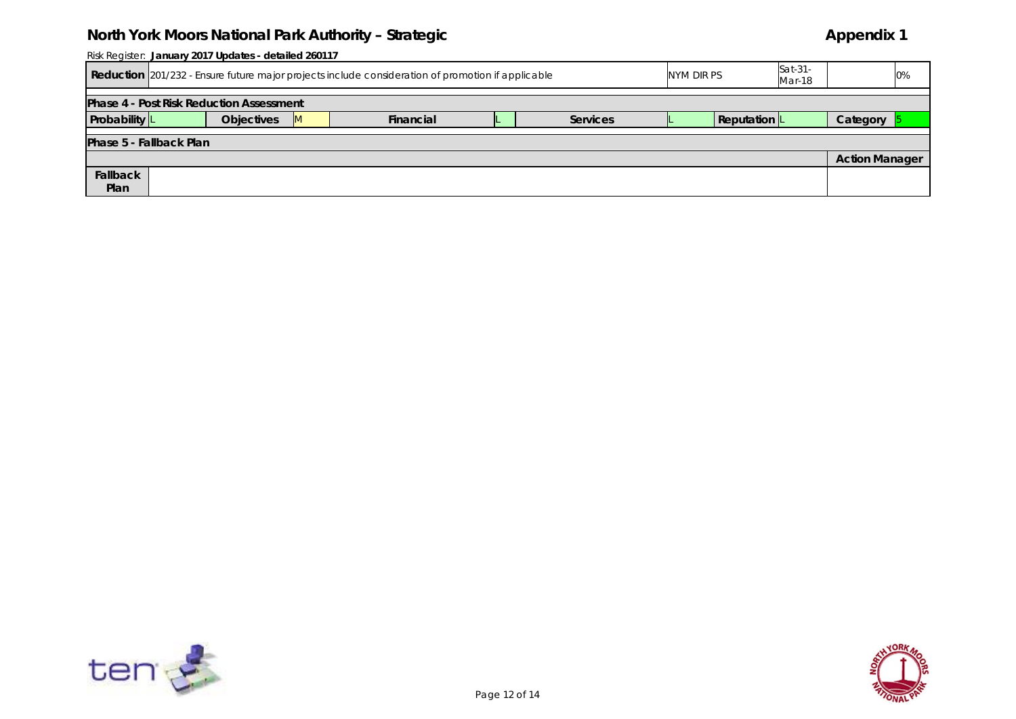|                         | Risk Register: January 2017 Updates - detailed 260117 |                                                                                                   |  |            |  |                   |  |                     |  |                       |  |  |
|-------------------------|-------------------------------------------------------|---------------------------------------------------------------------------------------------------|--|------------|--|-------------------|--|---------------------|--|-----------------------|--|--|
|                         |                                                       | Reduction 201/232 - Ensure future major projects include consideration of promotion if applicable |  | NYM DIR PS |  | Sat-31-<br>Mar-18 |  | 0%                  |  |                       |  |  |
|                         | <b>Phase 4 - Post Risk Reduction Assessment</b>       |                                                                                                   |  |            |  |                   |  |                     |  |                       |  |  |
| Probability L           |                                                       | <b>Objectives</b>                                                                                 |  | Financial  |  | <b>Services</b>   |  | <b>Reputation</b> L |  | Category              |  |  |
| Phase 5 - Fallback Plan |                                                       |                                                                                                   |  |            |  |                   |  |                     |  |                       |  |  |
|                         |                                                       |                                                                                                   |  |            |  |                   |  |                     |  | <b>Action Manager</b> |  |  |
| Fallback                |                                                       |                                                                                                   |  |            |  |                   |  |                     |  |                       |  |  |
| Plan                    |                                                       |                                                                                                   |  |            |  |                   |  |                     |  |                       |  |  |



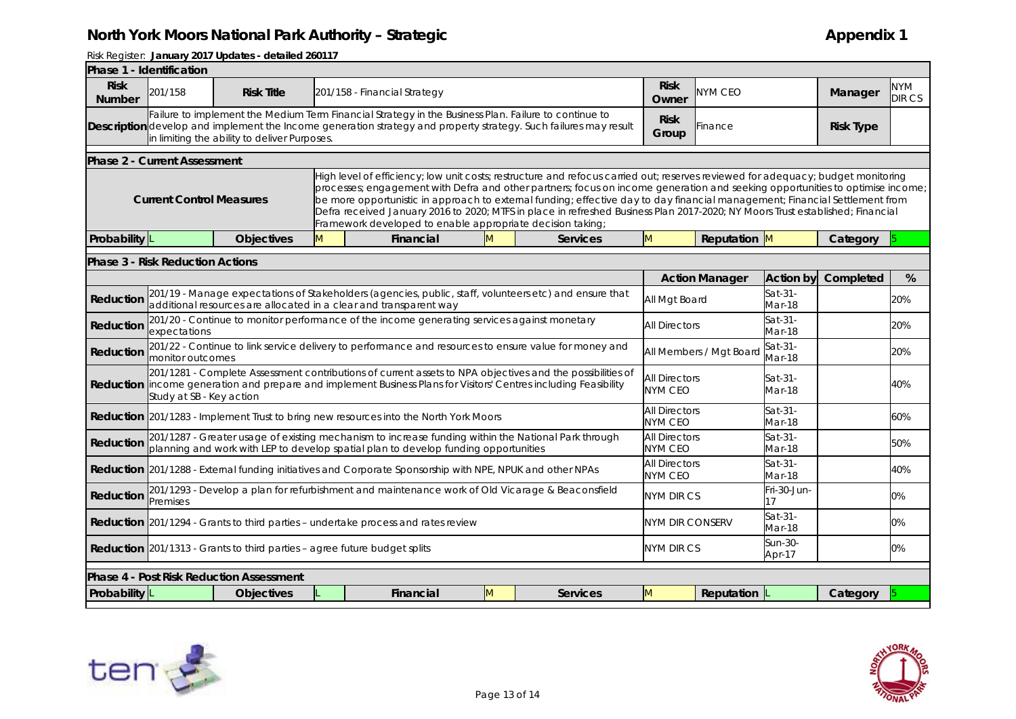|                              | Phase 1 - Identification                                                                                                                                                                                                                                                                                                        |                                                                                  |                                                                                                                                                                                                                               |                                                                                                                                                                                                                                                                                                                                                                                                                                                                                                                                                                                                  |   |                 |                                        |                         |                   |           |                      |  |  |  |
|------------------------------|---------------------------------------------------------------------------------------------------------------------------------------------------------------------------------------------------------------------------------------------------------------------------------------------------------------------------------|----------------------------------------------------------------------------------|-------------------------------------------------------------------------------------------------------------------------------------------------------------------------------------------------------------------------------|--------------------------------------------------------------------------------------------------------------------------------------------------------------------------------------------------------------------------------------------------------------------------------------------------------------------------------------------------------------------------------------------------------------------------------------------------------------------------------------------------------------------------------------------------------------------------------------------------|---|-----------------|----------------------------------------|-------------------------|-------------------|-----------|----------------------|--|--|--|
| <b>Risk</b><br><b>Number</b> | 201/158                                                                                                                                                                                                                                                                                                                         | <b>Risk Title</b>                                                                |                                                                                                                                                                                                                               | 201/158 - Financial Strategy                                                                                                                                                                                                                                                                                                                                                                                                                                                                                                                                                                     |   |                 | <b>Risk</b><br>Owner                   | <b>NYM CEO</b>          |                   | Manager   | <b>NYM</b><br>DIR CS |  |  |  |
|                              | Failure to implement the Medium Term Financial Strategy in the Business Plan. Failure to continue to<br><b>Risk</b><br>Description develop and implement the Income generation strategy and property strategy. Such failures may result<br><b>Risk Type</b><br>Finance<br>Group<br>in limiting the ability to deliver Purposes. |                                                                                  |                                                                                                                                                                                                                               |                                                                                                                                                                                                                                                                                                                                                                                                                                                                                                                                                                                                  |   |                 |                                        |                         |                   |           |                      |  |  |  |
|                              | <b>Phase 2 - Current Assessment</b>                                                                                                                                                                                                                                                                                             |                                                                                  |                                                                                                                                                                                                                               |                                                                                                                                                                                                                                                                                                                                                                                                                                                                                                                                                                                                  |   |                 |                                        |                         |                   |           |                      |  |  |  |
|                              | <b>Current Control Measures</b>                                                                                                                                                                                                                                                                                                 |                                                                                  |                                                                                                                                                                                                                               | High level of efficiency; low unit costs; restructure and refocus carried out; reserves reviewed for adequacy; budget monitoring<br>processes; engagement with Defra and other partners; focus on income generation and seeking opportunities to optimise income;<br>be more opportunistic in approach to external funding; effective day to day financial management; Financial Settlement from<br>Defra received January 2016 to 2020; MTFS in place in refreshed Business Plan 2017-2020; NY Moors Trust established; Financial<br>Framework developed to enable appropriate decision taking; |   |                 |                                        |                         |                   |           |                      |  |  |  |
| Probability                  |                                                                                                                                                                                                                                                                                                                                 | <b>Objectives</b>                                                                | M                                                                                                                                                                                                                             | Financial                                                                                                                                                                                                                                                                                                                                                                                                                                                                                                                                                                                        | M | <b>Services</b> | M                                      | Reputation M            |                   | Category  |                      |  |  |  |
|                              | <b>Phase 3 - Risk Reduction Actions</b>                                                                                                                                                                                                                                                                                         |                                                                                  |                                                                                                                                                                                                                               |                                                                                                                                                                                                                                                                                                                                                                                                                                                                                                                                                                                                  |   |                 |                                        |                         |                   |           |                      |  |  |  |
|                              |                                                                                                                                                                                                                                                                                                                                 |                                                                                  |                                                                                                                                                                                                                               |                                                                                                                                                                                                                                                                                                                                                                                                                                                                                                                                                                                                  |   |                 |                                        | <b>Action Manager</b>   | <b>Action by</b>  | Completed | %                    |  |  |  |
| Reduction                    |                                                                                                                                                                                                                                                                                                                                 |                                                                                  |                                                                                                                                                                                                                               | 201/19 - Manage expectations of Stakeholders (agencies, public, staff, volunteers etc) and ensure that<br>additional resources are allocated in a clear and transparent way                                                                                                                                                                                                                                                                                                                                                                                                                      |   |                 | All Mgt Board                          |                         | Sat-31-<br>Mar-18 |           | 20%                  |  |  |  |
| Reduction                    | 201/20 - Continue to monitor performance of the income generating services against monetary<br>expectations                                                                                                                                                                                                                     |                                                                                  |                                                                                                                                                                                                                               |                                                                                                                                                                                                                                                                                                                                                                                                                                                                                                                                                                                                  |   |                 |                                        | <b>All Directors</b>    | Sat-31-<br>Mar-18 |           | 20%                  |  |  |  |
| Reduction                    | monitor outcomes                                                                                                                                                                                                                                                                                                                |                                                                                  |                                                                                                                                                                                                                               | 201/22 - Continue to link service delivery to performance and resources to ensure value for money and                                                                                                                                                                                                                                                                                                                                                                                                                                                                                            |   |                 |                                        | All Members / Mgt Board | Sat-31-<br>Mar-18 |           | 20%                  |  |  |  |
|                              | Study at SB - Key action                                                                                                                                                                                                                                                                                                        |                                                                                  | 201/1281 - Complete Assessment contributions of current assets to NPA objectives and the possibilities of<br>Reduction income generation and prepare and implement Business Plans for Visitors' Centres including Feasibility |                                                                                                                                                                                                                                                                                                                                                                                                                                                                                                                                                                                                  |   |                 | <b>All Directors</b><br><b>NYM CEO</b> |                         | Sat-31-<br>Mar-18 |           | 40%                  |  |  |  |
|                              | <b>All Directors</b><br>Sat-31-<br><b>Reduction</b> 201/1283 - Implement Trust to bring new resources into the North York Moors<br>60%<br><b>NYM CEO</b><br>Mar-18                                                                                                                                                              |                                                                                  |                                                                                                                                                                                                                               |                                                                                                                                                                                                                                                                                                                                                                                                                                                                                                                                                                                                  |   |                 |                                        |                         |                   |           |                      |  |  |  |
| Reduction                    | 201/1287 - Greater usage of existing mechanism to increase funding within the National Park through<br>Sat-31-<br><b>All Directors</b><br>50%<br>planning and work with LEP to develop spatial plan to develop funding opportunities<br><b>NYM CEO</b><br>Mar-18                                                                |                                                                                  |                                                                                                                                                                                                                               |                                                                                                                                                                                                                                                                                                                                                                                                                                                                                                                                                                                                  |   |                 |                                        |                         |                   |           |                      |  |  |  |
|                              | <b>All Directors</b><br>Sat-31-<br>Reduction 201/1288 - External funding initiatives and Corporate Sponsorship with NPE, NPUK and other NPAs<br>40%<br><b>NYM CEO</b><br>Mar-18                                                                                                                                                 |                                                                                  |                                                                                                                                                                                                                               |                                                                                                                                                                                                                                                                                                                                                                                                                                                                                                                                                                                                  |   |                 |                                        |                         |                   |           |                      |  |  |  |
| Reduction                    | 201/1293 - Develop a plan for refurbishment and maintenance work of Old Vicarage & Beaconsfield<br>Fri-30-Jun-<br><b>NYM DIR CS</b><br>0%<br>17<br>Premises                                                                                                                                                                     |                                                                                  |                                                                                                                                                                                                                               |                                                                                                                                                                                                                                                                                                                                                                                                                                                                                                                                                                                                  |   |                 |                                        |                         |                   |           |                      |  |  |  |
|                              | Sat-31-<br>0%<br><b>Reduction</b> 201/1294 - Grants to third parties – undertake process and rates review<br><b>NYM DIR CONSERV</b><br>Mar-18                                                                                                                                                                                   |                                                                                  |                                                                                                                                                                                                                               |                                                                                                                                                                                                                                                                                                                                                                                                                                                                                                                                                                                                  |   |                 |                                        |                         |                   |           |                      |  |  |  |
|                              |                                                                                                                                                                                                                                                                                                                                 | <b>Reduction</b> 201/1313 - Grants to third parties - agree future budget splits |                                                                                                                                                                                                                               |                                                                                                                                                                                                                                                                                                                                                                                                                                                                                                                                                                                                  |   |                 | <b>NYM DIR CS</b>                      |                         | Sun-30-<br>Apr-17 |           | 0%                   |  |  |  |
|                              |                                                                                                                                                                                                                                                                                                                                 | <b>Phase 4 - Post Risk Reduction Assessment</b>                                  |                                                                                                                                                                                                                               |                                                                                                                                                                                                                                                                                                                                                                                                                                                                                                                                                                                                  |   |                 |                                        |                         |                   |           |                      |  |  |  |
| Probability                  |                                                                                                                                                                                                                                                                                                                                 | <b>Objectives</b>                                                                |                                                                                                                                                                                                                               | Financial                                                                                                                                                                                                                                                                                                                                                                                                                                                                                                                                                                                        | M | <b>Services</b> | M                                      | Reputation              |                   | Category  |                      |  |  |  |
|                              |                                                                                                                                                                                                                                                                                                                                 |                                                                                  |                                                                                                                                                                                                                               |                                                                                                                                                                                                                                                                                                                                                                                                                                                                                                                                                                                                  |   |                 |                                        |                         |                   |           |                      |  |  |  |



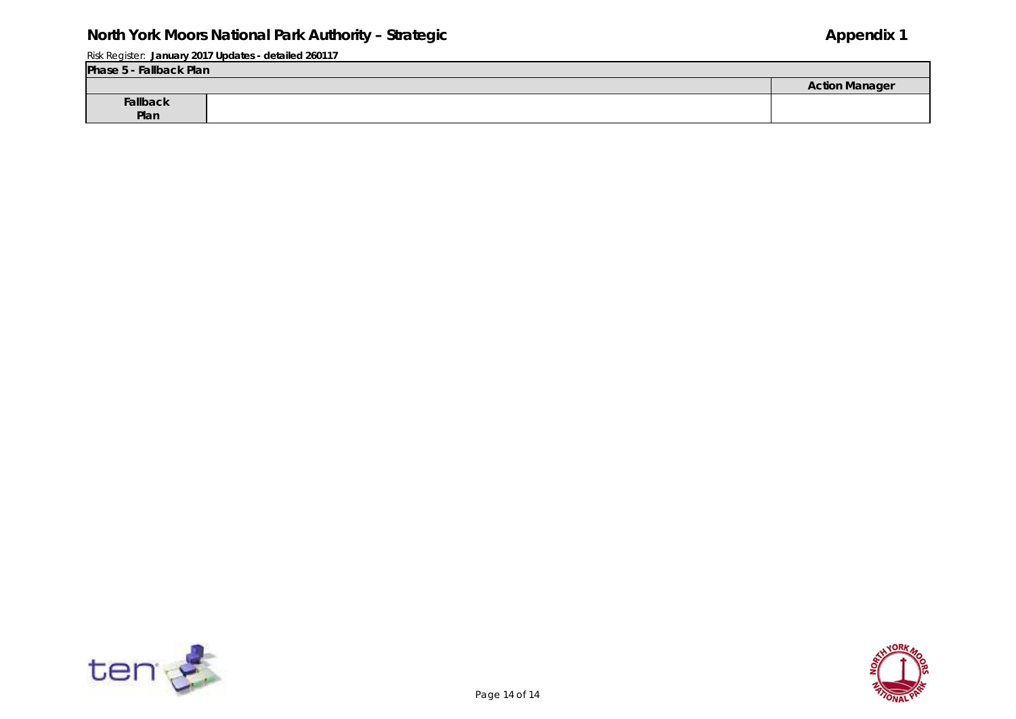| Phase 5 - Fallback Plan |  |                       |  |  |  |  |  |
|-------------------------|--|-----------------------|--|--|--|--|--|
|                         |  | <b>Action Manager</b> |  |  |  |  |  |
| Fallback                |  |                       |  |  |  |  |  |
| Plan                    |  |                       |  |  |  |  |  |



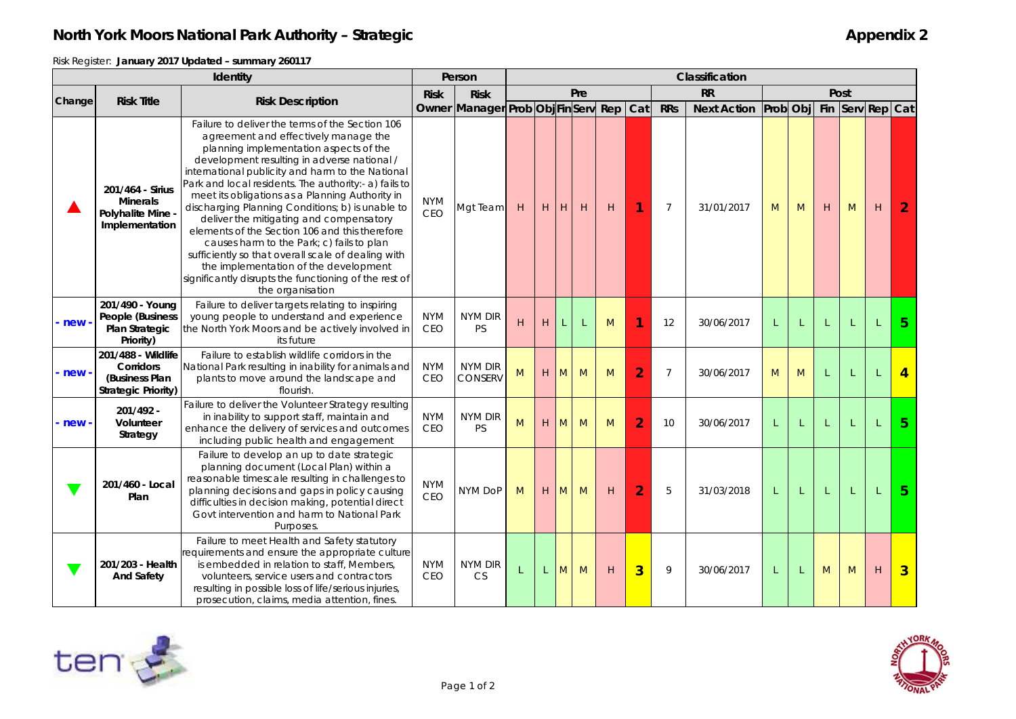Risk Register: **January 2017 Updated – summary 260117**

|                       | Identity                                                                 |                                                                                                                                                                                                                                                                                                                                                                                                                                                                                                                                                                                                                                                                                                                            |                          | Person               | Classification                     |   |     |   |   |                |                |                    |                           |   |   |   |              |                |
|-----------------------|--------------------------------------------------------------------------|----------------------------------------------------------------------------------------------------------------------------------------------------------------------------------------------------------------------------------------------------------------------------------------------------------------------------------------------------------------------------------------------------------------------------------------------------------------------------------------------------------------------------------------------------------------------------------------------------------------------------------------------------------------------------------------------------------------------------|--------------------------|----------------------|------------------------------------|---|-----|---|---|----------------|----------------|--------------------|---------------------------|---|---|---|--------------|----------------|
| Change                | <b>Risk Title</b><br><b>Risk Description</b>                             |                                                                                                                                                                                                                                                                                                                                                                                                                                                                                                                                                                                                                                                                                                                            | <b>Risk</b>              | <b>Risk</b>          | <b>RR</b><br>Post<br>Pre           |   |     |   |   |                |                |                    |                           |   |   |   |              |                |
|                       |                                                                          |                                                                                                                                                                                                                                                                                                                                                                                                                                                                                                                                                                                                                                                                                                                            |                          |                      | Owner Manager Prob Obj FinServ Rep |   |     |   |   | Cat            | <b>RRs</b>     | <b>Next Action</b> | Prob Obj Fin Serv Rep Cat |   |   |   |              |                |
|                       | 201/464 - Sirius<br><b>Minerals</b><br>Polyhalite Mine<br>Implementation | Failure to deliver the terms of the Section 106<br>agreement and effectively manage the<br>planning implementation aspects of the<br>development resulting in adverse national /<br>international publicity and harm to the National<br>Park and local residents. The authority:- a) fails to<br>meet its obligations as a Planning Authority in<br>discharging Planning Conditions; b) is unable to<br>deliver the mitigating and compensatory<br>elements of the Section 106 and this therefore<br>causes harm to the Park; c) fails to plan<br>sufficiently so that overall scale of dealing with<br>the implementation of the development<br>significantly disrupts the functioning of the rest of<br>the organisation | <b>NYM</b><br><b>CEO</b> | Mgt Team             | H                                  | H | IН. | H | H | 1              | $\overline{7}$ | 31/01/2017         | M                         | M | H | M | H            | $\overline{2}$ |
| new-                  | 201/490 - Young<br>People (Business<br>Plan Strategic<br>Priority)       | Failure to deliver targets relating to inspiring<br>young people to understand and experience<br>the North York Moors and be actively involved in<br>its future                                                                                                                                                                                                                                                                                                                                                                                                                                                                                                                                                            | <b>NYM</b><br><b>CEO</b> | NYM DIR<br>PS        | H                                  | H |     |   | M |                | 12             | 30/06/2017         | L                         |   |   |   | $\mathbf{I}$ | 5 <sup>5</sup> |
| $rac{new - }{new - }$ | 201/488 - Wildlife<br>Corridors<br>(Business Plan<br>Strategic Priority) | Failure to establish wildlife corridors in the<br>National Park resulting in inability for animals and<br>plants to move around the landscape and<br>flourish                                                                                                                                                                                                                                                                                                                                                                                                                                                                                                                                                              | <b>NYM</b><br><b>CEO</b> | NYM DIR<br>CONSERV   | M                                  | H | M   | M | M | $\overline{2}$ | $\overline{7}$ | 30/06/2017         | M                         | M |   |   |              | $\overline{4}$ |
| $rac{new -$           | 201/492 -<br>Volunteer<br>Strategy                                       | Failure to deliver the Volunteer Strategy resulting<br>in inability to support staff, maintain and<br>enhance the delivery of services and outcomes<br>including public health and engagement                                                                                                                                                                                                                                                                                                                                                                                                                                                                                                                              | <b>NYM</b><br><b>CEO</b> | NYM DIR<br><b>PS</b> | M                                  | H | M   | M | M | $\overline{2}$ | 10             | 30/06/2017         | L                         |   |   |   |              | 5 <sup>5</sup> |
|                       | 201/460 - Local<br>Plan                                                  | Failure to develop an up to date strategic<br>planning document (Local Plan) within a<br>reasonable timescale resulting in challenges to<br>planning decisions and gaps in policy causing<br>difficulties in decision making, potential direct<br>Govt intervention and harm to National Park<br>Purposes.                                                                                                                                                                                                                                                                                                                                                                                                                 | <b>NYM</b><br>CEO        | NYM DoP              | M                                  | H | M   | M | H | $\overline{2}$ | 5              | 31/03/2018         | L                         |   |   |   | $\mathbf{I}$ | 5 <sup>5</sup> |
|                       | 201/203 - Health<br><b>And Safety</b>                                    | Failure to meet Health and Safety statutory<br>requirements and ensure the appropriate culture<br>is embedded in relation to staff, Members,<br>volunteers, service users and contractors<br>resulting in possible loss of life/serious injuries,<br>prosecution, claims, media attention, fines.                                                                                                                                                                                                                                                                                                                                                                                                                          | <b>NYM</b><br><b>CEO</b> | NYM DIR<br><b>CS</b> | L                                  |   | M   | M | H | $\overline{3}$ | 9              | 30/06/2017         | L                         |   | M | M | H            | $\overline{3}$ |